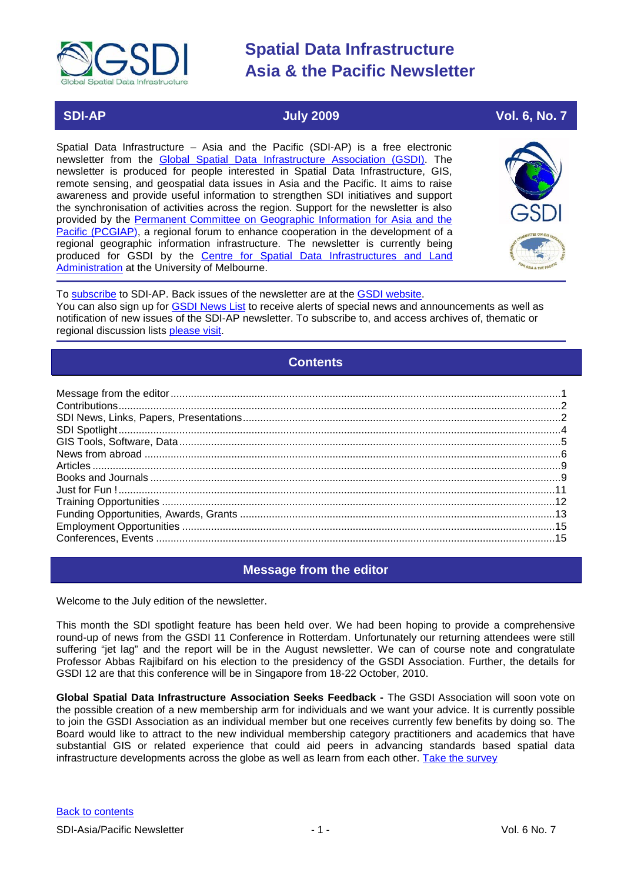

### **SDI-AP July 2009 Vol. 6, No. 7**

Spatial Data Infrastructure – Asia and the Pacific (SDI-AP) is a free electronic newsletter from the [Global Spatial Data Infrastructure Association \(GSDI\).](http://www.gsdi.org/) The newsletter is produced for people interested in Spatial Data Infrastructure, GIS, remote sensing, and geospatial data issues in Asia and the Pacific. It aims to raise awareness and provide useful information to strengthen SDI initiatives and support the synchronisation of activities across the region. Support for the newsletter is also provided by the [Permanent Committee on Geographic Information for Asia and the](http://www.pcgiap.org/)  [Pacific \(PCGIAP\)](http://www.pcgiap.org/), a regional forum to enhance cooperation in the development of a regional geographic information infrastructure. The newsletter is currently being produced for GSDI by the [Centre for Spatial Data Infrastructures and Land](http://www.csdila.unimelb.edu.au/)  [Administration](http://www.csdila.unimelb.edu.au/) at the University of Melbourne.



To [subscribe](http://www.gsdi.org/newslist/gsdisubscribe.asp) to SDI-AP. Back issues of the newsletter are at the [GSDI website.](http://www.gsdi.org/newsletters.asp) You can also sign up for **GSDI News List** to receive alerts of special news and announcements as well as notification of new issues of the SDI-AP newsletter. To subscribe to, and access archives of, thematic or regional discussion lists [please visit.](http://www.gsdi.org/discussionlists.asp)

### **Contents**

<span id="page-0-0"></span>

### **Message from the editor**

<span id="page-0-1"></span>Welcome to the July edition of the newsletter.

This month the SDI spotlight feature has been held over. We had been hoping to provide a comprehensive round-up of news from the GSDI 11 Conference in Rotterdam. Unfortunately our returning attendees were still suffering "jet lag" and the report will be in the August newsletter. We can of course note and congratulate Professor Abbas Rajibifard on his election to the presidency of the GSDI Association. Further, the details for GSDI 12 are that this conference will be in Singapore from 18-22 October, 2010.

**Global Spatial Data Infrastructure Association Seeks Feedback -** The GSDI Association will soon vote on the possible creation of a new membership arm for individuals and we want your advice. It is currently possible to join the GSDI Association as an individual member but one receives currently few benefits by doing so. The Board would like to attract to the new individual membership category practitioners and academics that have substantial GIS or related experience that could aid peers in advancing standards based spatial data infrastructure developments across the globe as well as learn from each other. [Take the survey](http://www.survsoft.com/esurv.php?s=25985&k=528-0-88159)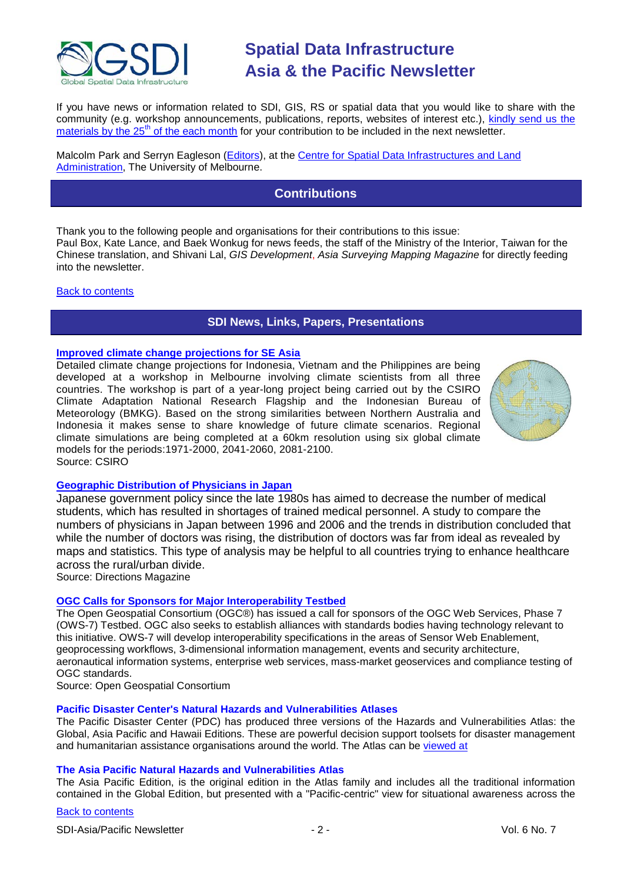

If you have news or information related to SDI, GIS, RS or spatial data that you would like to share with the community (e.g. workshop announcements, publications, reports, websites of interest etc.), [kindly send us](mailto:sdi-ap@gsdi.org) the [materials by the 25](mailto:sdi-ap@gsdi.org)<sup>th</sup> of the each month for your contribution to be included in the next newsletter.

<span id="page-1-0"></span>Malcolm Park and Serryn Eagleson [\(Editors\)](mailto:Editor.SDIAP@gmail.com), at the Centre for Spatial Data Infrastructures and Land [Administration,](http://www.csdila.unimelb.edu.au/) The University of Melbourne.

### **Contributions**

Thank you to the following people and organisations for their contributions to this issue: Paul Box, Kate Lance, and Baek Wonkug for news feeds, the staff of the Ministry of the Interior, Taiwan for the Chinese translation, and Shivani Lal, *GIS Development*, *Asia Surveying Mapping Magazine* for directly feeding into the newsletter.

#### <span id="page-1-1"></span>[Back to contents](#page-0-0)

### **SDI News, Links, Papers, Presentations**

#### **[Improved climate change projections for SE Asia](http://www.csiro.au/news/Improved-climate-change-projections-SE-Asia.html)**

Detailed climate change projections for Indonesia, Vietnam and the Philippines are being developed at a workshop in Melbourne involving climate scientists from all three countries. The workshop is part of a year-long project being carried out by the CSIRO Climate Adaptation National Research Flagship and the Indonesian Bureau of Meteorology (BMKG). Based on the strong similarities between Northern Australia and Indonesia it makes sense to share knowledge of future climate scenarios. Regional climate simulations are being completed at a 60km resolution using six global climate models for the periods:1971-2000, 2041-2060, 2081-2100. Source: CSIRO



#### **[Geographic Distribution of Physicians in Japan](http://www.directionsmag.com/article.php?article_id=3196)**

Japanese government policy since the late 1980s has aimed to decrease the number of medical students, which has resulted in shortages of trained medical personnel. A study to compare the numbers of physicians in Japan between 1996 and 2006 and the trends in distribution concluded that while the number of doctors was rising, the distribution of doctors was far from ideal as revealed by maps and statistics. This type of analysis may be helpful to all countries trying to enhance healthcare across the rural/urban divide.

Source: Directions Magazine

#### **[OGC Calls for Sponsors for Major Interoperability Testbed](http://www.opengeospatial.org/pressroom/pressreleases/1022)**

The Open Geospatial Consortium (OGC®) has issued a call for sponsors of the OGC Web Services, Phase 7 (OWS-7) Testbed. OGC also seeks to establish alliances with standards bodies having technology relevant to this initiative. OWS-7 will develop interoperability specifications in the areas of Sensor Web Enablement, geoprocessing workflows, 3-dimensional information management, events and security architecture, aeronautical information systems, enterprise web services, mass-market geoservices and compliance testing of OGC standards.

Source: Open Geospatial Consortium

#### **Pacific Disaster Center's Natural Hazards and Vulnerabilities Atlases**

The Pacific Disaster Center (PDC) has produced three versions of the Hazards and Vulnerabilities Atlas: the Global, Asia Pacific and Hawaii Editions. These are powerful decision support toolsets for disaster management and humanitarian assistance organisations around the world. The Atlas can be [viewed at](http://www.pdc.org/atlas/html/atlas-viewer.jsp)

#### **The Asia Pacific Natural Hazards and Vulnerabilities Atlas**

The Asia Pacific Edition, is the original edition in the Atlas family and includes all the traditional information contained in the Global Edition, but presented with a "Pacific-centric" view for situational awareness across the

#### [Back to contents](#page-0-0)

SDI-Asia/Pacific Newsletter  $\sim$  2 - 2 - Vol. 6 No. 7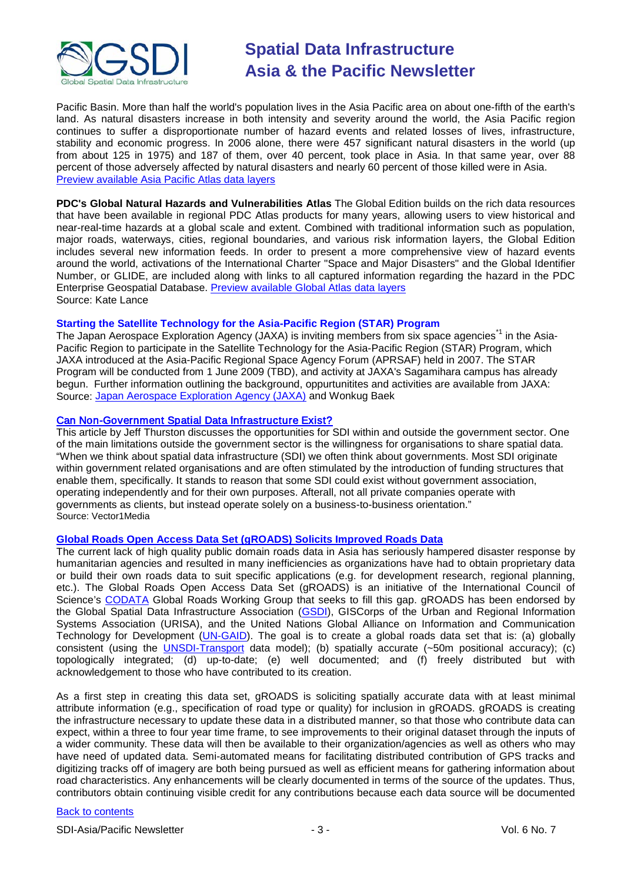

Pacific Basin. More than half the world's population lives in the Asia Pacific area on about one-fifth of the earth's land. As natural disasters increase in both intensity and severity around the world, the Asia Pacific region continues to suffer a disproportionate number of hazard events and related losses of lives, infrastructure, stability and economic progress. In 2006 alone, there were 457 significant natural disasters in the world (up from about 125 in 1975) and 187 of them, over 40 percent, took place in Asia. In that same year, over 88 percent of those adversely affected by natural disasters and nearly 60 percent of those killed were in Asia. [Preview available Asia Pacific Atlas data layers](http://www.pdc.org/atlas/html/atlas-layersapac.pdf)

**PDC's Global Natural Hazards and Vulnerabilities Atlas** The Global Edition builds on the rich data resources that have been available in regional PDC Atlas products for many years, allowing users to view historical and near-real-time hazards at a global scale and extent. Combined with traditional information such as population, major roads, waterways, cities, regional boundaries, and various risk information layers, the Global Edition includes several new information feeds. In order to present a more comprehensive view of hazard events around the world, activations of the International Charter "Space and Major Disasters" and the Global Identifier Number, or GLIDE, are included along with links to all captured information regarding the hazard in the PDC Enterprise Geospatial Database. [Preview available Global Atlas data layers](http://www.pdc.org/atlas/html/atlas-layersglobal.pdf) Source: Kate Lance

#### **Starting the Satellite Technology for the Asia-Pacific Region (STAR) Program**

The Japan Aerospace Exploration Agency (JAXA) is inviting members from six space agencies<sup>1</sup> in the Asia-Pacific Region to participate in the Satellite Technology for the Asia-Pacific Region (STAR) Program, which JAXA introduced at the Asia-Pacific Regional Space Agency Forum (APRSAF) held in 2007. The STAR Program will be conducted from 1 June 2009 (TBD), and activity at JAXA's Sagamihara campus has already begun. Further information outlining the background, oppurtunitites and activities are available from JAXA: Source: [Japan Aerospace Exploration Agency \(JAXA\)](http://www.jaxa.jp/press/2009/06/20090602_star_e.html) and Wonkug Baek

#### [Can Non-Government Spatial Data Infrastructure Exist?](http://www.vector1media.com/dialogue/persepctives/can-non%11government-spatial-data-infrastructure-exist?/)

This article by Jeff Thurston discusses the opportunities for SDI within and outside the government sector. One of the main limitations outside the government sector is the willingness for organisations to share spatial data. "When we think about spatial data infrastructure (SDI) we often think about governments. Most SDI originate within government related organisations and are often stimulated by the introduction of funding structures that enable them, specifically. It stands to reason that some SDI could exist without government association, operating independently and for their own purposes. Afterall, not all private companies operate with governments as clients, but instead operate solely on a business-to-business orientation." Source: Vector1Media

#### **[Global Roads Open Access Data Set \(gROADS\) Solicits Improved Roads Data](http://www.ciesin.columbia.edu/confluence/display/roads/)**

The current lack of high quality public domain roads data in Asia has seriously hampered disaster response by humanitarian agencies and resulted in many inefficiencies as organizations have had to obtain proprietary data or build their own roads data to suit specific applications (e.g. for development research, regional planning, etc.). The Global Roads Open Access Data Set (gROADS) is an initiative of the International Council of Science's [CODATA](http://www.codata.org/taskgroups/WGglobalroads/index.html) Global Roads Working Group that seeks to fill this gap. gROADS has been endorsed by the Global Spatial Data Infrastructure Association [\(GSDI\)](http://www.gsdi.org/), GISCorps of the Urban and Regional Information Systems Association (URISA), and the United Nations Global Alliance on Information and Communication Technology for Development [\(UN-GAID\)](http://www.un-gaid.org/). The goal is to create a global roads data set that is: (a) globally consistent (using the **[UNSDI-Transport](http://www.unjlc.org/mapcenter/unsdi/unsdit-v2/)** data model); (b) spatially accurate (~50m positional accuracy); (c) topologically integrated; (d) up-to-date; (e) well documented; and (f) freely distributed but with acknowledgement to those who have contributed to its creation.

As a first step in creating this data set, gROADS is soliciting spatially accurate data with at least minimal attribute information (e.g., specification of road type or quality) for inclusion in gROADS. gROADS is creating the infrastructure necessary to update these data in a distributed manner, so that those who contribute data can expect, within a three to four year time frame, to see improvements to their original dataset through the inputs of a wider community. These data will then be available to their organization/agencies as well as others who may have need of updated data. Semi-automated means for facilitating distributed contribution of GPS tracks and digitizing tracks off of imagery are both being pursued as well as efficient means for gathering information about road characteristics. Any enhancements will be clearly documented in terms of the source of the updates. Thus, contributors obtain continuing visible credit for any contributions because each data source will be documented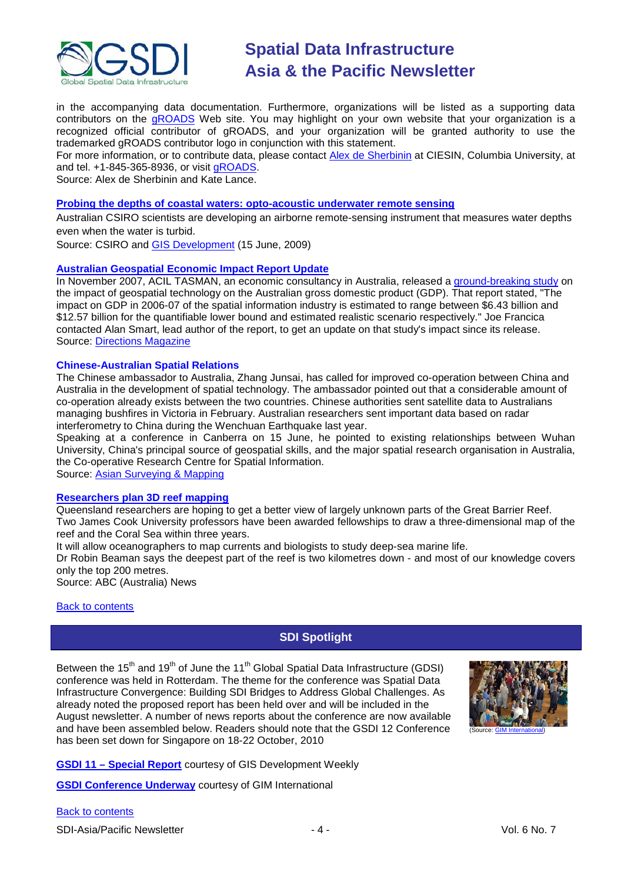

in the accompanying data documentation. Furthermore, organizations will be listed as a supporting data contributors on the [gROADS](http://www.ciesin.columbia.edu/confluence/display/roads/) Web site. You may highlight on your own website that your organization is a recognized official contributor of gROADS, and your organization will be granted authority to use the trademarked gROADS contributor logo in conjunction with this statement.

For more information, or to contribute data, please contact [Alex de Sherbinin](mailto:adesherbinin@ciesin.columbia.edu) at CIESIN, Columbia University, at and tel. +1-845-365-8936, or visit [gROADS.](http://www.groads.org/)

Source: Alex de Sherbinin and Kate Lance.

### **[Probing the depths of coastal waters: opto-acoustic underwater remote sensing](http://www.csiro.au/science/OAURS.html)**

Australian CSIRO scientists are developing an airborne remote-sensing instrument that measures water depths even when the water is turbid.

Source: CSIRO and [GIS Development](http://www.gisdevelopment.net/ezine/weekly/jun1509.htm) (15 June, 2009)

#### **[Australian Geospatial Economic Impact Report Update](http://www.directionsmag.com/article.php?article_id=3193)**

In November 2007, ACIL TASMAN, an economic consultancy in Australia, released a [ground-breaking study](http://www.directionsmag.com/article.php?article_id=2608) on the impact of geospatial technology on the Australian gross domestic product (GDP). That report stated, "The impact on GDP in 2006-07 of the spatial information industry is estimated to range between \$6.43 billion and \$12.57 billion for the quantifiable lower bound and estimated realistic scenario respectively." Joe Francica contacted Alan Smart, lead author of the report, to get an update on that study's impact since its release. Source: [Directions Magazine](http://www.directionsmedia.net/newsletters.archive/index.php?ID=1420)

#### **Chinese-Australian Spatial Relations**

The Chinese ambassador to Australia, Zhang Junsai, has called for improved co-operation between China and Australia in the development of spatial technology. The ambassador pointed out that a considerable amount of co-operation already exists between the two countries. Chinese authorities sent satellite data to Australians managing bushfires in Victoria in February. Australian researchers sent important data based on radar interferometry to China during the Wenchuan Earthquake last year.

Speaking at a conference in Canberra on 15 June, he pointed to existing relationships between Wuhan University, China's principal source of geospatial skills, and the major spatial research organisation in Australia, the Co-operative Research Centre for Spatial Information.

Source: [Asian Surveying & Mapping](http://www.asmmag.com/news/chinese-australian-spatial-relations)

#### **[Researchers plan 3D reef mapping](http://www.abc.net.au/news/stories/2009/06/17/2600387.htm)**

Queensland researchers are hoping to get a better view of largely unknown parts of the Great Barrier Reef. Two James Cook University professors have been awarded fellowships to draw a three-dimensional map of the reef and the Coral Sea within three years.

It will allow oceanographers to map currents and biologists to study deep-sea marine life.

Dr Robin Beaman says the deepest part of the reef is two kilometres down - and most of our knowledge covers only the top 200 metres.

Source: ABC (Australia) News

#### <span id="page-3-0"></span>[Back to contents](#page-0-0)

### **SDI Spotlight**

Between the 15<sup>th</sup> and 19<sup>th</sup> of June the 11<sup>th</sup> Global Spatial Data Infrastructure (GDSI) conference was held in Rotterdam. The theme for the conference was Spatial Data Infrastructure Convergence: Building SDI Bridges to Address Global Challenges. As already noted the proposed report has been held over and will be included in the August newsletter. A number of news reports about the conference are now available and have been assembled below. Readers should note that the GSDI 12 Conference has been set down for Singapore on 18-22 October, 2010



**GSDI 11 – [Special Report](http://www.gisdevelopment.net/events/reports/2009/gsdi.htm)** courtesy of GIS Development Weekly

**[GSDI Conference Underway](http://www.gim-international.com/news/id3859-GSDI_Conference_Underway.html)** courtesy of GIM International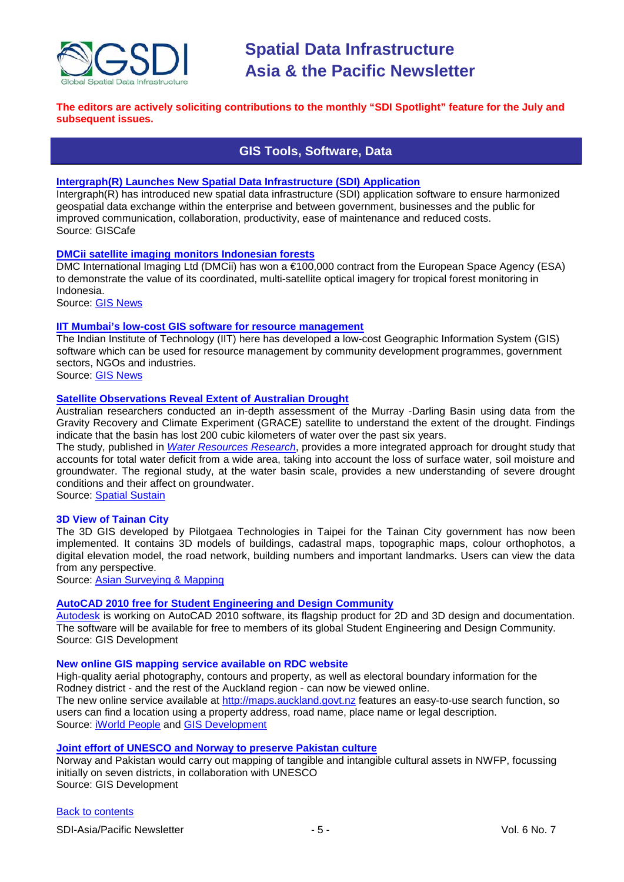

#### <span id="page-4-0"></span>**The editors are actively soliciting contributions to the monthly "SDI Spotlight" feature for the July and subsequent issues.**

### **GIS Tools, Software, Data**

#### **[Intergraph\(R\) Launches New Spatial Data Infrastructure \(SDI\) Application](http://www10.giscafe.com/nbc/articles/view_article.php?section=CorpNews&articleid=708012)**

Intergraph(R) has introduced new spatial data infrastructure (SDI) application software to ensure harmonized geospatial data exchange within the enterprise and between government, businesses and the public for improved communication, collaboration, productivity, ease of maintenance and reduced costs. Source: GISCafe

#### **[DMCii satellite imaging monitors Indonesian forests](http://www.gisdevelopment.net/news/viewn.asp?id=GIS:N_msqpigrobu)**

DMC International Imaging Ltd (DMCii) has won a €100,000 contract from the European Space Agency (ESA) to demonstrate the value of its coordinated, multi-satellite optical imagery for tropical forest monitoring in Indonesia.

Source: [GIS News](http://www.gisdevelopment.net/news/viewn.asp?id=GIS:N_msqpigrobu)

#### **[IIT Mumbai's low-cost GIS software for resource management](http://tinyurl.com/r65vbk)**

The Indian Institute of Technology (IIT) here has developed a low-cost Geographic Information System (GIS) software which can be used for resource management by community development programmes, government sectors, NGOs and industries.

Source: [GIS News](http://www.gisdevelopment.net/news/viewn.asp?id=GIS:N_jygmctiubv&Ezine=jun0109§ion=News)

#### **[Satellite Observations Reveal Extent of Australian Drought](http://vector1media.com/spatialsustain/satellite-observations-reveal-extent-of-australian-drought.html)**

Australian researchers conducted an in-depth assessment of the Murray -Darling Basin using data from the Gravity Recovery and Climate Experiment (GRACE) satellite to understand the extent of the drought. Findings indicate that the basin has lost 200 cubic kilometers of water over the past six years.

The study, published in *[Water Resources Research](http://www.agu.org/journals/wr/)*, provides a more integrated approach for drought study that accounts for total water deficit from a wide area, taking into account the loss of surface water, soil moisture and groundwater. The regional study, at the water basin scale, provides a new understanding of severe drought conditions and their affect on groundwater.

Source: [Spatial Sustain](http://vector1media.com/spatialsustain/satellite-observations-reveal-extent-of-australian-drought.html)

#### **[3D View of Tainan City](http://www.asmmag.com/news/3d-view-of-tainan-city)**

The 3D GIS developed by Pilotgaea Technologies in Taipei for the Tainan City government has now been implemented. It contains 3D models of buildings, cadastral maps, topographic maps, colour orthophotos, a digital elevation model, the road network, building numbers and important landmarks. Users can view the data from any perspective.

Source: [Asian Surveying & Mapping](http://www.asmmag.com/news/3d-view-of-tainan-city)

### **[AutoCAD 2010 free for Student Engineering and Design Community](http://www.gisdevelopment.net/news/viewn.asp?id=GIS:N_myhszdinoa&Ezine=jun2209§ion=News)**

[Autodesk](http://usa.autodesk.com/) is working on AutoCAD 2010 software, its flagship product for 2D and 3D design and documentation. The software will be available for free to members of its global Student Engineering and Design Community. Source: GIS Development

#### **New online GIS mapping service available on RDC website**

High-quality aerial photography, contours and property, as well as electoral boundary information for the Rodney district - and the rest of the Auckland region - can now be viewed online. The new online service available at [http://maps.auckland.govt.nz](http://maps.auckland.govt.nz/) features an easy-to-use search function, so users can find a location using a property address, road name, place name or legal description. Source: [iWorld People](http://www.iworldpeople.co.nz/nz/news/1792) and [GIS Development](http://www.gisdevelopment.net/news/viewn.asp?id=GIS:N_thqgzewbis&Ezine=jun0109§ion=News)

#### **[Joint effort of UNESCO and Norway to preserve Pakistan culture](http://www.gisdevelopment.net/news/viewn.asp?id=GIS:N_xosjpfrelw&Ezine=jun2209§ion=News)**

Norway and Pakistan would carry out mapping of tangible and intangible cultural assets in NWFP, focussing initially on seven districts, in collaboration with UNESCO Source: GIS Development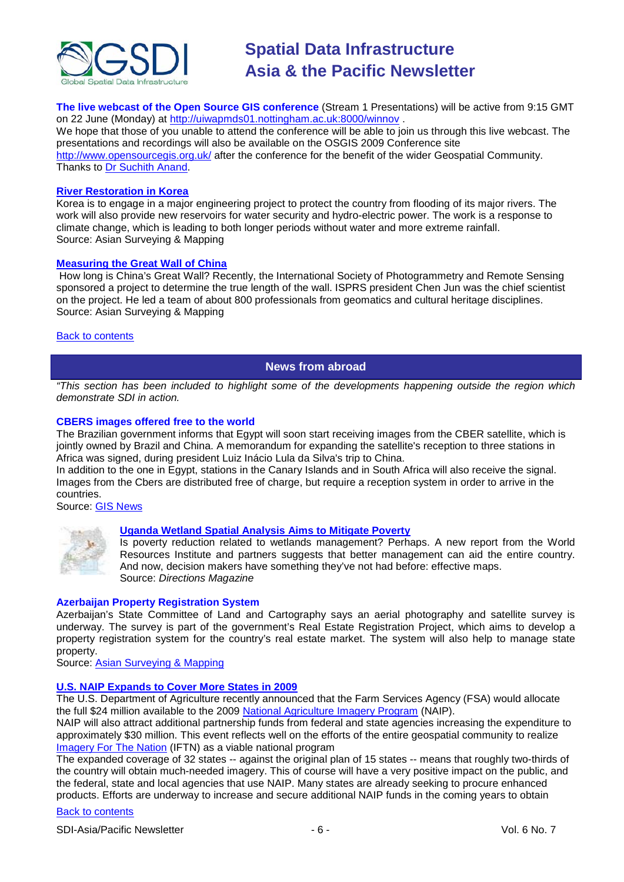

**The live webcast of the Open Source GIS conference** (Stream 1 Presentations) will be active from 9:15 GMT on 22 June (Monday) at<http://uiwapmds01.nottingham.ac.uk:8000/winnov> .

We hope that those of you unable to attend the conference will be able to join us through this live webcast. The presentations and recordings will also be available on the OSGIS 2009 Conference site <http://www.opensourcegis.org.uk/> after the conference for the benefit of the wider Geospatial Community. Thanks to [Dr Suchith Anand.](mailto:Suchith.Anand@nottingham.ac.uk)

#### **[River Restoration in Korea](http://www.asmmag.com/news/river-restoration-in-korea)**

Korea is to engage in a major engineering project to protect the country from flooding of its major rivers. The work will also provide new reservoirs for water security and hydro-electric power. The work is a response to climate change, which is leading to both longer periods without water and more extreme rainfall. Source: Asian Surveying & Mapping

#### **[Measuring the Great Wall of China](http://www.asmmag.com/news/measuring-the-great-wall-of-china)**

How long is China's Great Wall? Recently, the International Society of Photogrammetry and Remote Sensing sponsored a project to determine the true length of the wall. ISPRS president Chen Jun was the chief scientist on the project. He led a team of about 800 professionals from geomatics and cultural heritage disciplines. Source: Asian Surveying & Mapping

#### <span id="page-5-0"></span>[Back to contents](#page-0-0)

### **News from abroad**

*"This section has been included to highlight some of the developments happening outside the region which demonstrate SDI in action.*

#### **CBERS images offered free to the world**

The Brazilian government informs that Egypt will soon start receiving images from the CBER satellite, which is jointly owned by Brazil and China. A memorandum for expanding the satellite's reception to three stations in Africa was signed, during president Luiz Inácio Lula da Silva's trip to China.

In addition to the one in Egypt, stations in the Canary Islands and in South Africa will also receive the signal. Images from the Cbers are distributed free of charge, but require a reception system in order to arrive in the countries.

Source: [GIS News](http://www.gisdevelopment.net/news/viewn.asp?id=GIS:N_hxowbicfsp&Ezine=jun0109§ion=News)



#### **[Uganda Wetland Spatial Analysis Aims to Mitigate Poverty](http://newsletter.directionsmag.com/link.php?M=145624&N=1662&L=26041)**

Is poverty reduction related to wetlands management? Perhaps. A new report from the World Resources Institute and partners suggests that better management can aid the entire country. And now, decision makers have something they've not had before: effective maps. Source: *Directions Magazine*

#### **Azerbaijan [Property Registration System](http://www.asmmag.com/news/azerbaijan-property-registration-system)**

Azerbaijan's State Committee of Land and Cartography says an aerial photography and satellite survey is underway. The survey is part of the government's Real Estate Registration Project, which aims to develop a property registration system for the country's real estate market. The system will also help to manage state property.

Source: [Asian Surveying & Mapping](http://www.asmmag.com/news/azerbaijan-property-registration-system)

#### **[U.S. NAIP Expands to Cover More States in 2009](http://www.fsa.usda.gov/FSA/apfoapp?area=home&subject=prog&topic=nai)**

The U.S. Department of Agriculture recently announced that the Farm Services Agency (FSA) would allocate the full \$24 million available to the 2009 [National Agriculture Imagery Program](http://www.fsa.usda.gov/FSA/apfoapp?area=home&subject=prog&topic=nai) (NAIP).

NAIP will also attract additional partnership funds from federal and state agencies increasing the expenditure to approximately \$30 million. This event reflects well on the efforts of the entire geospatial community to realize [Imagery For The Nation](http://www.nsgic.org/hottopics/imageryforthenation.cfm) (IFTN) as a viable national program

The expanded coverage of 32 states -- against the original plan of 15 states -- means that roughly two-thirds of the country will obtain much-needed imagery. This of course will have a very positive impact on the public, and the federal, state and local agencies that use NAIP. Many states are already seeking to procure enhanced products. Efforts are underway to increase and secure additional NAIP funds in the coming years to obtain

#### [Back to contents](#page-0-0)

SDI-Asia/Pacific Newsletter  $\overline{6}$  - 6 -  $\overline{8}$  -  $\overline{9}$  -  $\overline{9}$  -  $\overline{9}$  -  $\overline{9}$  -  $\overline{9}$  -  $\overline{9}$  -  $\overline{9}$  -  $\overline{9}$  -  $\overline{9}$  -  $\overline{9}$  -  $\overline{9}$  -  $\overline{9}$  -  $\overline{9}$  -  $\overline{9}$  -  $\overline{9}$  -  $\over$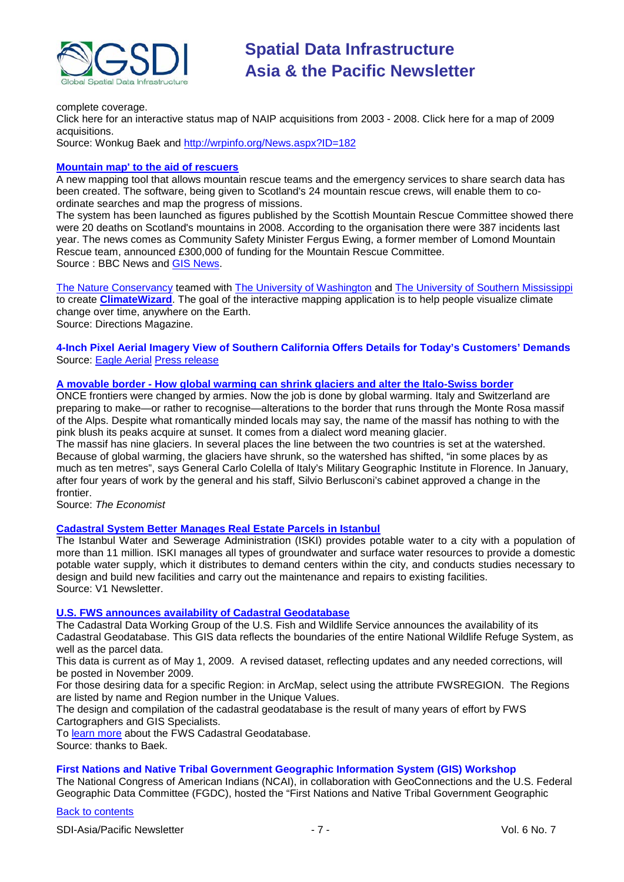

complete coverage.

[Click here](http://www.fsa.usda.gov/Internet/FSA_File/naip_coverage_2009mar.pdf) for an interactive status map of NAIP acquisitions from 2003 - 2008. [Click here](http://www.fsa.usda.gov/Internet/FSA_Image/naip09prog.gif) for a map of 2009 acquisitions.

Source: Wonkug Baek and<http://wrpinfo.org/News.aspx?ID=182>

#### **[Mountain map' to the aid of rescuers](http://news.bbc.co.uk/2/hi/uk_news/scotland/tayside_and_central/8089412.stm)**

A new mapping tool that allows mountain rescue teams and the emergency services to share search data has been created. The software, being given to Scotland's 24 mountain rescue crews, will enable them to coordinate searches and map the progress of missions.

The system has been launched as figures published by the Scottish Mountain Rescue Committee showed there were 20 deaths on Scotland's mountains in 2008. According to the organisation there were 387 incidents last year. The news comes as Community Safety Minister Fergus Ewing, a former member of Lomond Mountain Rescue team, announced £300,000 of funding for the Mountain Rescue Committee. Source : BBC News and [GIS News.](http://www.gisdevelopment.net/news/viewn.asp?id=GIS:N_qabzomfesc)

[The Nature Conservancy](http://newsletter.directionsmag.com/link.php?M=145624&N=1690&L=26184) teamed with [The University of Washington](http://newsletter.directionsmag.com/link.php?M=145624&N=1690&L=26182) and [The University of Southern Mississippi](http://newsletter.directionsmag.com/link.php?M=145624&N=1690&L=26183) to create **[ClimateWizard](http://newsletter.directionsmag.com/link.php?M=145624&N=1690&L=26199)**. The goal of the interactive mapping application is to help people visualize climate change over time, anywhere on the Earth. Source: Directions Magazine.

**4-Inch Pixel Aerial Imagery View of Southern California Offers Details for Today's Customers' Demands** Source: [Eagle Aerial](http://www.eagleaerial.com/) [Press release](http://www.directionsmag.com/press.releases/?duty=Show&id=33859)

#### **A movable border - [How global warming can shrink glaciers and alter the Italo-Swiss border](http://www.economist.com/displayStory.cfm?story_id=13496212)**

ONCE frontiers were changed by armies. Now the job is done by global warming. Italy and Switzerland are preparing to make—or rather to recognise—alterations to the border that runs through the Monte Rosa massif of the Alps. Despite what romantically minded locals may say, the name of the massif has nothing to with the pink blush its peaks acquire at sunset. It comes from a dialect word meaning glacier.

The massif has nine glaciers. In several places the line between the two countries is set at the watershed. Because of global warming, the glaciers have shrunk, so the watershed has shifted, "in some places by as much as ten metres", says General Carlo Colella of Italy's Military Geographic Institute in Florence. In January, after four years of work by the general and his staff, Silvio Berlusconi's cabinet approved a change in the frontier.

Source: *The Economist*

#### **[Cadastral System Better Manages Real Estate Parcels in Istanbul](http://www.vector1media.com/article/feature/cadastral-system-better-manages-real-estate-parcels-in-istanbul/)**

The Istanbul Water and Sewerage Administration (ISKI) provides potable water to a city with a population of more than 11 million. ISKI manages all types of groundwater and surface water resources to provide a domestic potable water supply, which it distributes to demand centers within the city, and conducts studies necessary to design and build new facilities and carry out the maintenance and repairs to existing facilities. Source: V1 Newsletter.

#### **[U.S. FWS announces availability of Cadastral Geodatabase](http://www.fws.gov/data/Cadastral.htm)**

The Cadastral Data Working Group of the U.S. Fish and Wildlife Service announces the availability of its Cadastral Geodatabase. This GIS data reflects the boundaries of the entire National Wildlife Refuge System, as well as the parcel data.

This data is current as of May 1, 2009. A revised dataset, reflecting updates and any needed corrections, will be posted in November 2009.

For those desiring data for a specific Region: in ArcMap, select using the attribute FWSREGION. The Regions are listed by name and Region number in the Unique Values.

The design and compilation of the cadastral geodatabase is the result of many years of effort by FWS Cartographers and GIS Specialists.

To [learn more](http://proceedings.esri.com/library/userconf/feduc09/papers/vandegraft_cad_gdb_for_fws_9-1-08.pdf) about the FWS Cadastral Geodatabase.

Source: thanks to Baek.

#### **First Nations and Native Tribal Government Geographic Information System (GIS) Workshop**

The National Congress of American Indians (NCAI), in collaboration with GeoConnections and the U.S. Federal Geographic Data Committee (FGDC), hosted the "First Nations and Native Tribal Government Geographic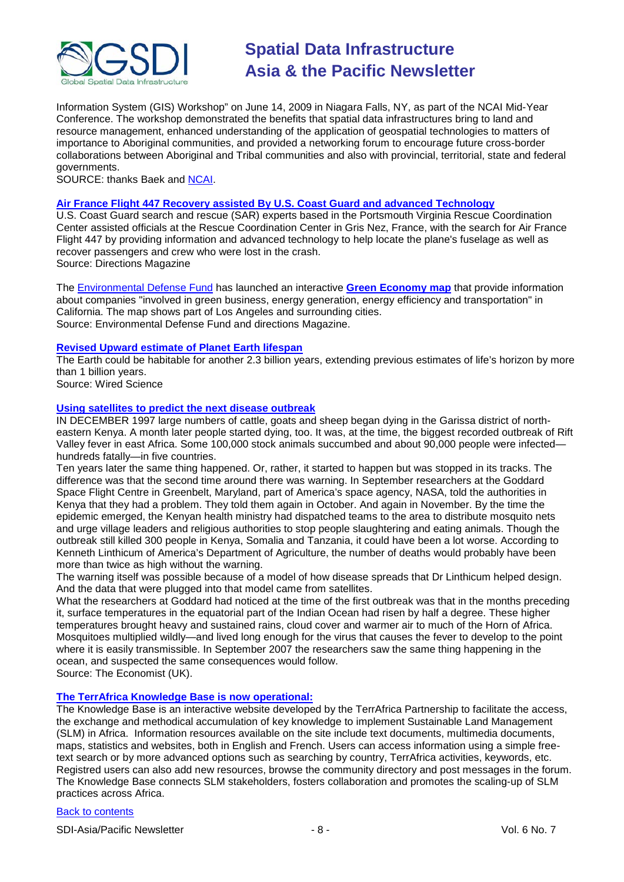

Information System (GIS) Workshop" on June 14, 2009 in Niagara Falls, NY, as part of the NCAI Mid-Year Conference. The workshop demonstrated the benefits that spatial data infrastructures bring to land and resource management, enhanced understanding of the application of geospatial technologies to matters of importance to Aboriginal communities, and provided a networking forum to encourage future cross-border collaborations between Aboriginal and Tribal communities and also with provincial, territorial, state and federal governments.

SOURCE: thanks Baek and [NCAI.](http://www.ncai.org/Agendas.429.0.html)

#### **[Air France Flight 447 Recovery assisted By U.S. Coast Guard and advanced Technology](http://www.directionsmag.com/press.releases/?duty=Show&id=33936)**

U.S. Coast Guard search and rescue (SAR) experts based in the Portsmouth Virginia Rescue Coordination Center assisted officials at the Rescue Coordination Center in Gris Nez, France, with the search for Air France Flight 447 by providing information and advanced technology to help locate the plane's fuselage as well as recover passengers and crew who were lost in the crash.

Source: Directions Magazine

The [Environmental Defense Fund](http://www.edf.org/home.cfm) has launched an interactive **[Green Economy map](http://www.edf.org/page.cfm?tagID=40388)** that provide information about companies "involved in green business, energy generation, energy efficiency and transportation" in California. The map shows part of Los Angeles and surrounding cities. Source: Environmental Defense Fund and directions Magazine.

#### **[Revised Upward estimate of Planet Earth lifespan](http://www.wired.com/wiredscience/2009/06/earth-gets-a-billion-year-life-extension/)**

The Earth could be habitable for another 2.3 billion years, extending previous estimates of life's horizon by more than 1 billion years.

Source: Wired Science

### **[Using satellites to predict the next disease outbreak](http://www.economist.com/sciencetechnology/displayStory.cfm?story_id=13688152)**

IN DECEMBER 1997 large numbers of cattle, goats and sheep began dying in the Garissa district of northeastern Kenya. A month later people started dying, too. It was, at the time, the biggest recorded outbreak of Rift Valley fever in east Africa. Some 100,000 stock animals succumbed and about 90,000 people were infected hundreds fatally—in five countries.

Ten years later the same thing happened. Or, rather, it started to happen but was stopped in its tracks. The difference was that the second time around there was warning. In September researchers at the Goddard Space Flight Centre in Greenbelt, Maryland, part of America's space agency, NASA, told the authorities in Kenya that they had a problem. They told them again in October. And again in November. By the time the epidemic emerged, the Kenyan health ministry had dispatched teams to the area to distribute mosquito nets and urge village leaders and religious authorities to stop people slaughtering and eating animals. Though the outbreak still killed 300 people in Kenya, Somalia and Tanzania, it could have been a lot worse. According to Kenneth Linthicum of America's Department of Agriculture, the number of deaths would probably have been more than twice as high without the warning.

The warning itself was possible because of a model of how disease spreads that Dr Linthicum helped design. And the data that were plugged into that model came from satellites.

What the researchers at Goddard had noticed at the time of the first outbreak was that in the months preceding it, surface temperatures in the equatorial part of the Indian Ocean had risen by half a degree. These higher temperatures brought heavy and sustained rains, cloud cover and warmer air to much of the Horn of Africa. Mosquitoes multiplied wildly—and lived long enough for the virus that causes the fever to develop to the point where it is easily transmissible. In September 2007 the researchers saw the same thing happening in the ocean, and suspected the same consequences would follow.

Source: The Economist (UK).

#### **[The TerrAfrica Knowledge Base is now operational:](http://knowledgebase.terrafrica.org/)**

The Knowledge Base is an interactive website developed by the TerrAfrica Partnership to facilitate the access, the exchange and methodical accumulation of key knowledge to implement Sustainable Land Management (SLM) in Africa. Information resources available on the site include text documents, multimedia documents, maps, statistics and websites, both in English and French. Users can access information using a simple freetext search or by more advanced options such as searching by country, TerrAfrica activities, keywords, etc. Registred users can also add new resources, browse the community directory and post messages in the forum. The Knowledge Base connects SLM stakeholders, fosters collaboration and promotes the scaling-up of SLM practices across Africa.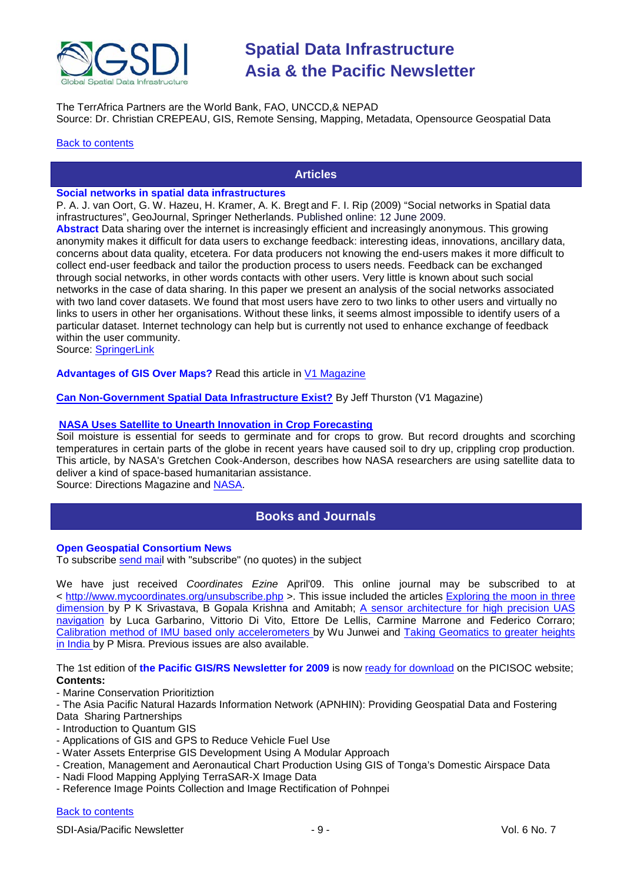

The TerrAfrica Partners are the World Bank, FAO, UNCCD,& NEPAD Source: Dr. Christian CREPEAU, GIS, Remote Sensing, Mapping, Metadata, Opensource Geospatial Data

#### <span id="page-8-0"></span>**[Back to contents](#page-0-0)**

#### **Articles**

#### **Social networks in spatial data infrastructures**

P. A. J. van Oort, G. W. Hazeu, H. Kramer, A. K. Bregt and F. I. Rip (2009) "Social networks in Spatial data infrastructures", GeoJournal, Springer Netherlands. Published online: 12 June 2009.

**Abstract** Data sharing over the internet is increasingly efficient and increasingly anonymous. This growing anonymity makes it difficult for data users to exchange feedback: interesting ideas, innovations, ancillary data, concerns about data quality, etcetera. For data producers not knowing the end-users makes it more difficult to collect end-user feedback and tailor the production process to users needs. Feedback can be exchanged through social networks, in other words contacts with other users. Very little is known about such social networks in the case of data sharing. In this paper we present an analysis of the social networks associated with two land cover datasets. We found that most users have zero to two links to other users and virtually no links to users in other her organisations. Without these links, it seems almost impossible to identify users of a particular dataset. Internet technology can help but is currently not used to enhance exchange of feedback within the user community.

Source: [SpringerLink](http://www.springerlink.com/content/m6552284h8t76u77/)

**Advantages of GIS Over Maps?** Read this article in [V1 Magazine.](http://vector1media.com/vectorone/?p=2754)

**[Can Non-Government Spatial Data Infrastructure Exist?](http://www.vector1media.com/dialogue/perspectives/can-non%11government-spatial-data-infrastructure-exist?/)** By Jeff Thurston (V1 Magazine)

#### **[NASA Uses Satellite to Unearth Innovation in Crop Forecasting](http://www.directionsmag.com/article.php?article_id=3194)**

Soil moisture is essential for seeds to germinate and for crops to grow. But record droughts and scorching temperatures in certain parts of the globe in recent years have caused soil to dry up, crippling crop production. This article, by NASA's Gretchen Cook-Anderson, describes how NASA researchers are using satellite data to deliver a kind of space-based humanitarian assistance.

<span id="page-8-1"></span>Source: Directions Magazine and [NASA.](http://www.nasa.gov/topics/earth/features/crop_forecast.html)

### **Books and Journals**

#### **Open Geospatial Consortium News**

To subscribe [send mail](mailto:emailto:newsletter-request@lists.opengeospatial.org) with "subscribe" (no quotes) in the subject

We have just received *Coordinates Ezine* April'09. This online journal may be subscribed to at <<http://www.mycoordinates.org/unsubscribe.php> >. This issue included the articles [Exploring the moon in three](http://mycoordinates.co.in/phplist/lt.php?id=LB9XAQ4DAwUMGFdXTQMCUQMO)  [dimension](http://mycoordinates.co.in/phplist/lt.php?id=LB9XAQ4DAwUMGFdXTQMCUQMO) by P K Srivastava, B Gopala Krishna and Amitabh; [A sensor architecture for high precision UAS](http://mycoordinates.co.in/phplist/lt.php?id=LB9XAQ4DAwUNGFdXTQMCUQMO)  [navigation](http://mycoordinates.co.in/phplist/lt.php?id=LB9XAQ4DAwUNGFdXTQMCUQMO) by Luca Garbarino, Vittorio Di Vito, Ettore De Lellis, Carmine Marrone and Federico Corraro; [Calibration method of IMU based only accelerometers b](http://mycoordinates.co.in/phplist/lt.php?id=LB9XAQ4D%21%0A+AwoEGFdXTQMCUQMO)y Wu Junwei and [Taking Geomatics to greater heights](http://mycoordinates.co.in/phplist/lt.php?id=LB9XAQ4DAwoGGFdXTQMCUQMO)  [in India b](http://mycoordinates.co.in/phplist/lt.php?id=LB9XAQ4DAwoGGFdXTQMCUQMO)y P Misra. Previous issues are also available.

The 1st edition of **the Pacific GIS/RS Newsletter for 2009** is now [ready for download](http://www.picisoc.org/tiki-download_file.php?fileId=128) on the PICISOC website; **Contents:**

#### - Marine Conservation Prioritiztion

- The Asia Pacific Natural Hazards Information Network (APNHIN): Providing Geospatial Data and Fostering Data Sharing Partnerships

- Introduction to Quantum GIS
- Applications of GIS and GPS to Reduce Vehicle Fuel Use
- Water Assets Enterprise GIS Development Using A Modular Approach
- Creation, Management and Aeronautical Chart Production Using GIS of Tonga's Domestic Airspace Data
- Nadi Flood Mapping Applying TerraSAR-X Image Data
- Reference Image Points Collection and Image Rectification of Pohnpei

#### [Back to contents](#page-0-0)

SDI-Asia/Pacific Newsletter  $\overline{9}$  - 9 -  $\overline{9}$  - 9 -  $\overline{9}$  Vol. 6 No. 7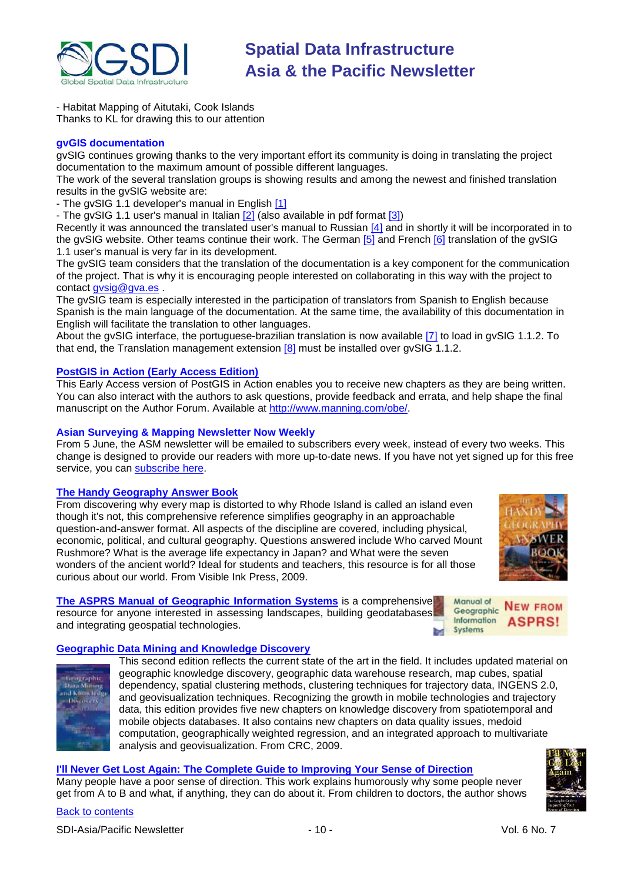

- Habitat Mapping of Aitutaki, Cook Islands Thanks to KL for drawing this to our attention

#### **gvGIS documentation**

gvSIG continues growing thanks to the very important effort its community is doing in translating the project documentation to the maximum amount of possible different languages.

The work of the several translation groups is showing results and among the newest and finished translation results in the gvSIG website are:

- The gvSIG 1.1 developer's manual in English [\[1\]](https://gvsig.org/web/docdev/manual-para-desarrolladores-gvsig/view?set_language=en)

- The gvSIG 1.1 user's manual in Italian [\[2\]](https://gvsig.org/web/docusr/userguide-gvsig-1-1/view?set_language=it) (also available in pdf format [\[3\]\)](ftp://downloads.gvsig.org/gva/descargas/manuales/gvSIG-1_1-man-v1-it.pdf)

Recently it was announced the translated user's manual to Russian [\[4\]](http://gis-lab.info/docs/gvsig/manual11/) and in shortly it will be incorporated in to the gvSIG website. Other teams continue their work. The German [\[5\]](http://www.gvsig.org/web/docusr/userguide-gvsig-1-1/view?set_language=de) and French [\[6\]](http://www.gvsig.org/web/docusr/userguide-gvsig-1-1/view?set_language=fr) translation of the gvSIG 1.1 user's manual is very far in its development.

The gvSIG team considers that the translation of the documentation is a key component for the communication of the project. That is why it is encouraging people interested on collaborating in this way with the project to contact [gvsig@gva.es](mailto:gvsig@gva.es) .

The gvSIG team is especially interested in the participation of translators from Spanish to English because Spanish is the main language of the documentation. At the same time, the availability of this documentation in English will facilitate the translation to other languages.

About the gvSIG interface, the portuguese-brazilian translation is now available [\[7\]](https://gvsig.org/web/projects/gvsig-desktop/upgrade-language/view?set_language=en) to load in gvSIG 1.1.2. To that end, the Translation management extension  $[8]$  must be installed over gvSIG 1.1.2.

#### **[PostGIS in Action \(Early Access Edition\)](http://newsletter.directionsmag.com/link.php?M=145624&N=1644&L=15729)**

This Early Access version of PostGIS in Action enables you to receive new chapters as they are being written. You can also interact with the authors to ask questions, provide feedback and errata, and help shape the final manuscript on the Author Forum. Available at [http://www.manning.com/obe/.](http://newsletter.directionsmag.com/link.php?M=145624&N=1644&L=25957)

#### **Asian Surveying & Mapping Newsletter Now Weekly**

From 5 June, the ASM newsletter will be emailed to subscribers every week, instead of every two weeks. This change is designed to provide our readers with more up-to-date news. If you have not yet signed up for this free service, you can [subscribe here.](http://www.asmmag.com/subscriptions/new)

#### **[The Handy Geography Answer Book](http://newsletter.directionsmag.com/link.php?M=145624&N=1644&L=25628)**

From discovering why every map is distorted to why Rhode Island is called an island even though it's not, this comprehensive reference simplifies geography in an approachable question-and-answer format. All aspects of the discipline are covered, including physical, economic, political, and cultural geography. Questions answered include Who carved Mount Rushmore? What is the average life expectancy in Japan? and What were the seven wonders of the ancient world? Ideal for students and teachers, this resource is for all those curious about our world. From Visible Ink Press, 2009.

**[The ASPRS Manual of Geographic Information Systems](http://newsletter.directionsmag.com/link.php?M=145624&N=1669&L=26094)** is a comprehensive Geographic resource for anyone interested in assessing landscapes, building geodatabases Information and integrating geospatial technologies. Systems **Second** 





**[Geographic Data Mining and Knowledge Discovery](http://newsletter.directionsmag.com/link.php?M=145624&N=1669&L=26085)** This second edition reflects the current state of the art in the field. It includes updated material on geographic knowledge discovery, geographic data warehouse research, map cubes, spatial dependency, spatial clustering methods, clustering techniques for trajectory data, INGENS 2.0, and geovisualization techniques. Recognizing the growth in mobile technologies and trajectory data, this edition provides five new chapters on knowledge discovery from spatiotemporal and mobile objects databases. It also contains new chapters on data quality issues, medoid computation, geographically weighted regression, and an integrated approach to multivariate analysis and geovisualization. From CRC, 2009.

#### **[I'll Never Get Lost Again: The Complete Guide to Improving Your Sense of Direction](http://newsletter.directionsmag.com/link.php?M=145624&N=1693&L=26219)**

Many people have a poor sense of direction. This work explains humorously why some people never get from A to B and what, if anything, they can do about it. From children to doctors, the author shows

### [Back to contents](#page-0-0)

SDI-Asia/Pacific Newsletter  $\sim$  10 - Vol. 6 No. 7

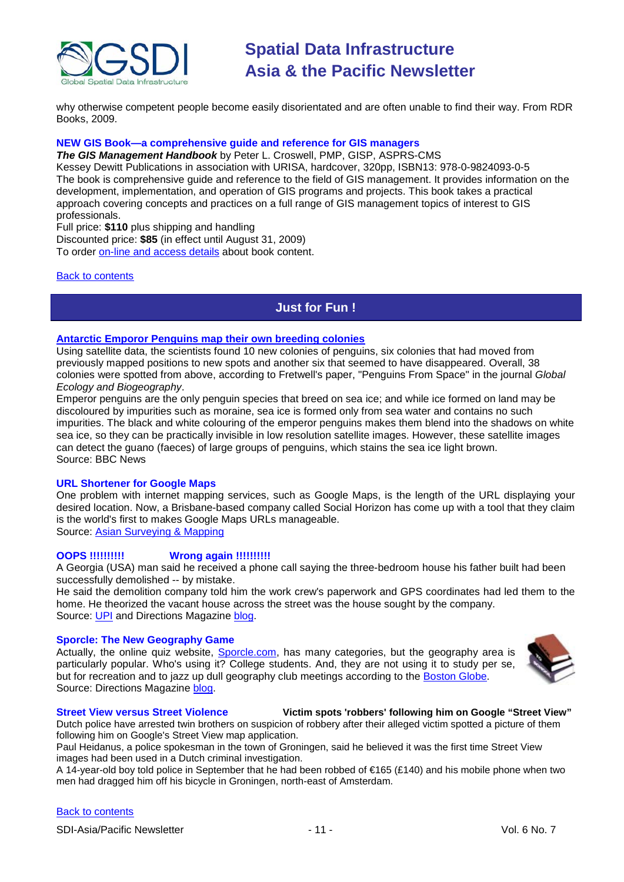

why otherwise competent people become easily disorientated and are often unable to find their way. From RDR Books, 2009.

### **NEW GIS Book—a comprehensive guide and reference for GIS managers**

*The GIS Management Handbook* by Peter L. Croswell, PMP, GISP, ASPRS-CMS

Kessey Dewitt Publications in association with URISA, hardcover, 320pp, ISBN13: 978-0-9824093-0-5 The book is comprehensive guide and reference to the field of GIS management. It provides information on the development, implementation, and operation of GIS programs and projects. This book takes a practical approach covering concepts and practices on a full range of GIS management topics of interest to GIS professionals.

Full price: **\$110** plus shipping and handling

Discounted price: **\$85** (in effect until August 31, 2009) To order [on-line and access details](http://www.urisa.org/gisbookorder) about book content.

#### <span id="page-10-0"></span>[Back to contents](#page-0-0)

### **Just for Fun !**

### **[Antarctic Emporor Penguins map their own breeding colonies](http://news.bbc.co.uk/go/pr/fr/-/1/hi/sci/tech/8077040.stm)**

Using satellite data, the scientists found 10 new colonies of penguins, six colonies that had moved from previously mapped positions to new spots and another six that seemed to have disappeared. Overall, 38 colonies were spotted from above, according to Fretwell's paper, "Penguins From Space" in the journal *Global Ecology and Biogeography*.

Emperor penguins are the only penguin species that breed on sea ice; and while ice formed on land may be discoloured by impurities such as moraine, sea ice is formed only from sea water and contains no such impurities. The black and white colouring of the emperor penguins makes them blend into the shadows on white sea ice, so they can be practically invisible in low resolution satellite images. However, these satellite images can detect the guano (faeces) of large groups of penguins, which stains the sea ice light brown. Source: BBC News

#### **[URL Shortener for Google Maps](http://www.asmmag.com/news/url-shortener-for-google-maps)**

One problem with internet mapping services, such as Google Maps, is the length of the URL displaying your desired location. Now, a Brisbane-based company called Social Horizon has come up with a tool that they claim is the world's first to makes Google Maps URLs manageable.

Source: [Asian Surveying & Mapping](http://www.asmmag.com/news/url-shortener-for-google-maps)

#### **OOPS !!!!!!!!!! Wrong again !!!!!!!!!!**

A Georgia (USA) man said he received a phone call saying the three-bedroom house his father built had been successfully demolished -- by mistake.

He said the demolition company told him the work crew's paperwork and GPS coordinates had led them to the home. He theorized the vacant house across the street was the house sought by the company. Source: [UPI](http://www.upi.com/Odd_News/2009/06/11/Man-Wrong-house-demolished/UPI-56861244756422/) and Directions Magazine [blog.](http://apb.directionsmag.com/archives/5911-GPS-not-address-Gets-Demolition-Location-Wrong.html)

#### **Sporcle: The New Geography Game**

Actually, the online quiz website, [Sporcle.com,](http://sporcle.com/) has many categories, but the geography area is particularly popular. Who's using it? College students. And, they are not using it to study per se, but for recreation and to jazz up dull geography club meetings according to the [Boston Globe.](http://www.boston.com/lifestyle/family/articles/2009/06/16/visitors_to_website_sporcle_learn_geography_and_other_subjects____and_have_fun/) Source: Directions Magazine [blog.](http://apb.directionsmag.com/archives/5932-Sporcle-The-New-Geography-Game.html)



**Street View versus Street Violence Victim spots 'robbers' following him on Google "Street View"** Dutch police have arrested twin brothers on suspicion of robbery after their alleged victim spotted a picture of them following him on Google's Street View map application.

Paul Heidanus, a police spokesman in the town of Groningen, said he believed it was the first time Street View images had been used in a Dutch criminal investigation.

A 14-year-old boy told police in September that he had been robbed of €165 (£140) and his mobile phone when two men had dragged him off his bicycle in Groningen, north-east of Amsterdam.

#### [Back to contents](#page-0-0)

SDI-Asia/Pacific Newsletter  $\sim$  11 - 11 - Vol. 6 No. 7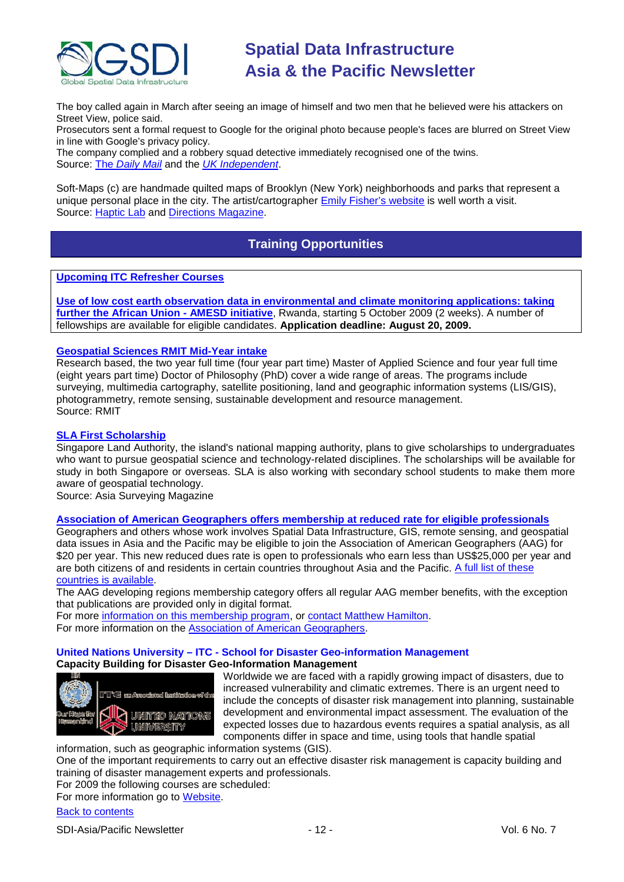

The boy called again in March after seeing an image of himself and two men that he believed were his attackers on Street View, police said.

Prosecutors sent a formal request to Google for the original photo because people's faces are blurred on Street View in line with Google's privacy policy.

The company complied and a robbery squad detective immediately recognised one of the twins. Source: The *[Daily Mail](http://www.dailymail.co.uk/news/worldnews/article-1194240/Twin-brothers-arrested-robbery-victim-spotted-picture-following-Google-Street-View.html)* and the *[UK Independent](http://www.independent.co.uk/news/world/americas/victim-spots-robbers-following-him-on-google-1710748.html)*.

Soft-Maps (c) are handmade quilted maps of Brooklyn (New York) neighborhoods and parks that represent a unique personal place in the city. The artist/cartographer **Emily Fisher's website** is well worth a visit. Source: [Haptic Lab](http://www.hapticlab.com/) and [Directions Magazine.](http://www.directionsmedia.net/newsletters.archive/index.php?ID=1422)

### **Training Opportunities**

#### <span id="page-11-0"></span>**[Upcoming ITC Refresher Courses](http://www.itc.nl/education/courses.aspx)**

**[Use of low cost earth observation data in environmental and climate monitoring applications: taking](http://www.itc.nl/education/courses/course_descriptions/C09-WRS-RC-01.aspx)  [further the African Union -](http://www.itc.nl/education/courses/course_descriptions/C09-WRS-RC-01.aspx) AMESD initiative**, Rwanda, starting 5 October 2009 (2 weeks). A number of fellowships are available for eligible candidates. **Application deadline: August 20, 2009.**

#### **[Geospatial Sciences RMIT Mid-Year intake](http://www.rmit.com/browse;ID=tcb2mqwtdcyw)**

Research based, the two year full time (four year part time) Master of Applied Science and four year full time (eight years part time) Doctor of Philosophy (PhD) cover a wide range of areas. The programs include surveying, multimedia cartography, satellite positioning, land and geographic information systems (LIS/GIS), photogrammetry, remote sensing, sustainable development and resource management. Source: RMIT

#### **[SLA First Scholarship](http://www.asmmag.com/news/sla-first-scholarship)**

Singapore Land Authority, the island's national mapping authority, plans to give scholarships to undergraduates who want to pursue geospatial science and technology-related disciplines. The scholarships will be available for study in both Singapore or overseas. SLA is also working with secondary school students to make them more aware of geospatial technology.

Source: Asia Surveying Magazine

#### **[Association of American Geographers offers membership at reduced rate for eligible professionals](http://www.aag.org/developing/index.htm)**

Geographers and others whose work involves Spatial Data Infrastructure, GIS, remote sensing, and geospatial data issues in Asia and the Pacific may be eligible to join the Association of American Geographers (AAG) for \$20 per year. This new reduced dues rate is open to professionals who earn less than US\$25,000 per year and are both citizens of and residents in certain countries throughout Asia and the Pacific. [A full list of these](http://www.aag.org/developing/eligibility.htm)  [countries is available.](http://www.aag.org/developing/eligibility.htm)

The AAG developing regions membership category offers all regular AAG member benefits, with the exception that publications are provided only in digital format.

For more [information on this membership program,](http://www.aag.org/developing/index.htm) or [contact Matthew Hamilton.](mailto:mhamilton@aag.org) For more information on the [Association of American Geographers.](http://www.aag.org/)

#### **United Nations University – ITC - School for Disaster Geo-information Management Capacity Building for Disaster Geo-Information Management**



Worldwide we are faced with a rapidly growing impact of disasters, due to increased vulnerability and climatic extremes. There is an urgent need to include the concepts of disaster risk management into planning, sustainable development and environmental impact assessment. The evaluation of the expected losses due to hazardous events requires a spatial analysis, as all components differ in space and time, using tools that handle spatial

information, such as geographic information systems (GIS).

One of the important requirements to carry out an effective disaster risk management is capacity building and training of disaster management experts and professionals.

For 2009 the following courses are scheduled:

For more information go to [Website.](http://www.itc.nl/unu/dgim/default.asp)

[Back to contents](#page-0-0)

SDI-Asia/Pacific Newsletter  $\sim$  12 - 12 - Vol. 6 No. 7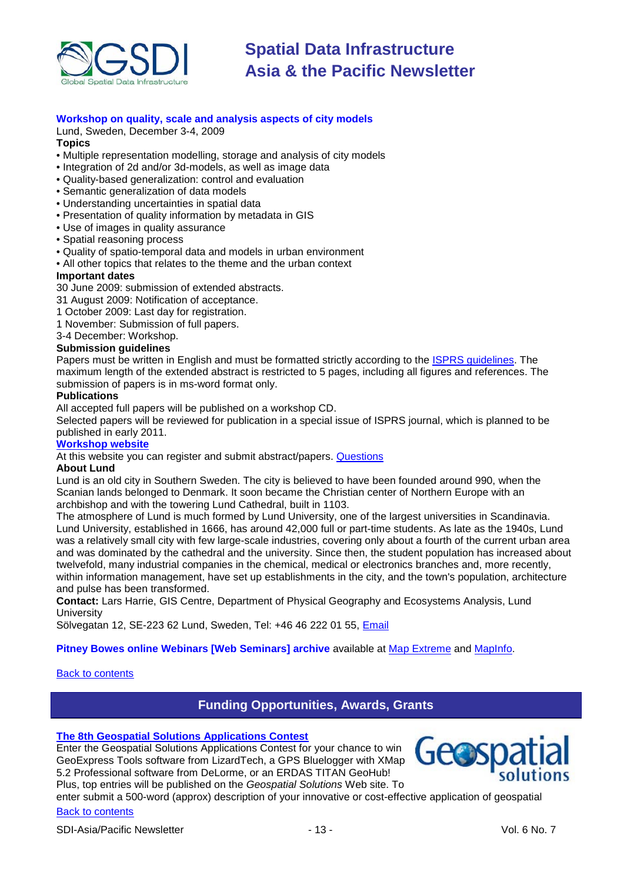

#### **Workshop on quality, scale and analysis aspects of city models**

Lund, Sweden, December 3-4, 2009 **Topics**

- Multiple representation modelling, storage and analysis of city models
- Integration of 2d and/or 3d-models, as well as image data
- Quality-based generalization: control and evaluation
- Semantic generalization of data models
- Understanding uncertainties in spatial data
- Presentation of quality information by metadata in GIS
- Use of images in quality assurance
- Spatial reasoning process
- Quality of spatio-temporal data and models in urban environment
- All other topics that relates to the theme and the urban context

#### **Important dates**

30 June 2009: submission of extended abstracts.

- 31 August 2009: Notification of acceptance.
- 1 October 2009: Last day for registration.
- 1 November: Submission of full papers.
- 3-4 December: Workshop.

#### **Submission guidelines**

Papers must be written in English and must be formatted strictly according to the **ISPRS** guidelines. The maximum length of the extended abstract is restricted to 5 pages, including all figures and references. The submission of papers is in ms-word format only.

#### **Publications**

All accepted full papers will be published on a workshop CD.

Selected papers will be reviewed for publication in a special issue of ISPRS journal, which is planned to be published in early 2011.

#### **[Workshop website](http://isprs.gis.lu.se/)**

At this website you can register and submit abstract/papers. [Questions](mailto:isprs@gis.lu.se)

#### **About Lund**

Lund is an old city in Southern Sweden. The city is believed to have been founded around 990, when the Scanian lands belonged to Denmark. It soon became the Christian center of Northern Europe with an archbishop and with the towering Lund Cathedral, built in 1103.

The atmosphere of Lund is much formed by Lund University, one of the largest universities in Scandinavia. Lund University, established in 1666, has around 42,000 full or part-time students. As late as the 1940s, Lund was a relatively small city with few large-scale industries, covering only about a fourth of the current urban area and was dominated by the cathedral and the university. Since then, the student population has increased about twelvefold, many industrial companies in the chemical, medical or electronics branches and, more recently, within information management, have set up establishments in the city, and the town's population, architecture and pulse has been transformed.

**Contact:** Lars Harrie, GIS Centre, Department of Physical Geography and Ecosystems Analysis, Lund **University** 

Sölvegatan 12, SE-223 62 Lund, Sweden, Tel: +46 46 222 01 55, [Email](mailto:isprs@gis.lu.se)

#### **Pitney Bowes online Webinars [Web Seminars] archive** available at [Map Extreme](http://gw.vtrenz.net/?MGOL99J0HK) and [MapInfo.](http://gw.vtrenz.net/?LDKMA6UIKP&webSyncID=612de8b1-1e74-9687-d7c1-c7eda52b01e9)

#### <span id="page-12-0"></span>[Back to contents](#page-0-0)

### **Funding Opportunities, Awards, Grants**

#### **[The 8th Geospatial Solutions Applications Contest](http://www.geospatial-solutions.com/applicationsContest)**

Enter the Geospatial Solutions Applications Contest for your chance to win GeoExpress Tools software from LizardTech, a GPS Bluelogger with XMap 5.2 Professional software from DeLorme, or an ERDAS TITAN GeoHub! Plus, top entries will be published on the *Geospatial Solutions* Web site. To



[Back to contents](#page-0-0) enter submit a 500-word (approx) description of your innovative or cost-effective application of geospatial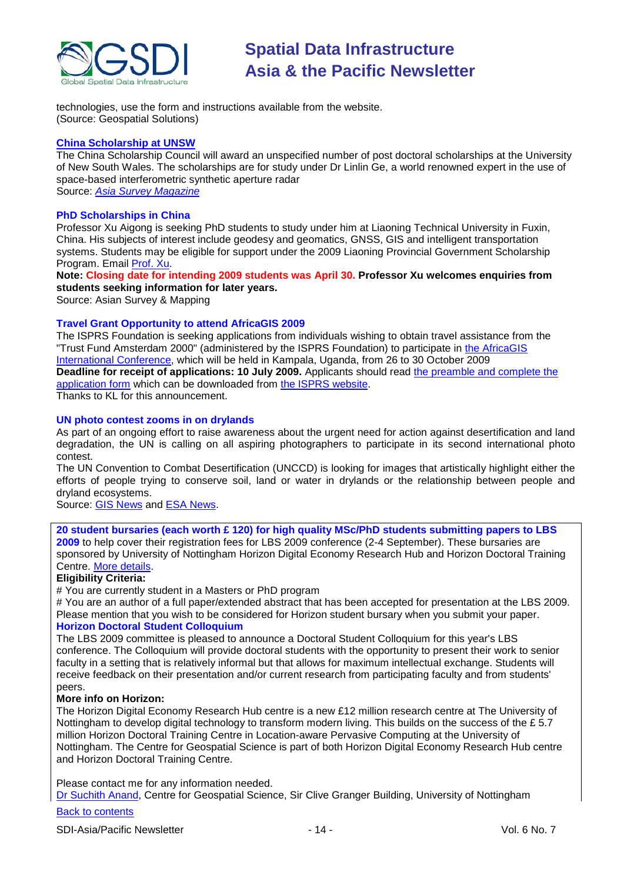

technologies, use the form and instructions available from the website. (Source: Geospatial Solutions)

#### **[China Scholarship at UNSW](http://www.asmmag.com/news/Professor%20linlin%20Ge%20scholoarship)**

The China Scholarship Council will award an unspecified number of post doctoral scholarships at the University of New South Wales. The scholarships are for study under Dr Linlin Ge, a world renowned expert in the use of space-based interferometric synthetic aperture radar Source: *[Asia Survey Magazine](http://www.asmmag.com/news/Professor%20linlin%20Ge%20scholoarship)*

**PhD Scholarships in China**

Professor Xu Aigong is seeking PhD students to study under him at Liaoning Technical University in Fuxin, China. His subjects of interest include geodesy and geomatics, GNSS, GIS and intelligent transportation systems. Students may be eligible for support under the 2009 Liaoning Provincial Government Scholarship Program. Email [Prof. Xu.](mailto:eagxu@ntu.edu.sg)

**Note: Closing date for intending 2009 students was April 30. Professor Xu welcomes enquiries from students seeking information for later years.**

Source: Asian Survey & Mapping

#### **Travel Grant Opportunity to attend AfricaGIS 2009**

The ISPRS Foundation is seeking applications from individuals wishing to obtain travel assistance from the "Trust Fund Amsterdam 2000" (administered by the ISPRS Foundation) to participate in the AfricaGIS [International Conference,](http://www.africagis2009.org/) which will be held in Kampala, Uganda, from 26 to 30 October 2009 **Deadline for receipt of applications: 10 July 2009.** Applicants should read [the preamble and complete the](http://www.isprs.org/foundation/PDF/TFA2000PreambleRequestAfricaGIS2009.pdf)  [application form](http://www.isprs.org/foundation/PDF/TFA2000PreambleRequestAfricaGIS2009.pdf) which can be downloaded from [the ISPRS website.](http://www.isprs.org/foundation/)

Thanks to KL for this announcement.

#### **UN photo contest zooms in on drylands**

As part of an ongoing effort to raise awareness about the urgent need for action against desertification and land degradation, the UN is calling on all aspiring photographers to participate in its second international photo contest.

The UN Convention to Combat Desertification (UNCCD) is looking for images that artistically highlight either the efforts of people trying to conserve soil, land or water in drylands or the relationship between people and dryland ecosystems.

Source: [GIS News](http://www.gisdevelopment.net/news/viewn.asp?id=GIS:N_hdzpucsaeg) and [ESA News.](http://www.esa.int/esaCP/SEMKR5ANJTF_index_0.html)

**20 student bursaries (each worth £ 120) for high quality MSc/PhD students submitting papers to LBS** 

**2009** to help cover their registration fees for LBS 2009 conference (2-4 September). These bursaries are sponsored by University of Nottingham Horizon Digital Economy Research Hub and Horizon Doctoral Training Centre. [More details.](http://www.lbs2009.org/)

#### **Eligibility Criteria:**

# You are currently student in a Masters or PhD program

# You are an author of a full paper/extended abstract that has been accepted for presentation at the LBS 2009. Please mention that you wish to be considered for Horizon student bursary when you submit your paper. **Horizon Doctoral Student Colloquium**

The LBS 2009 committee is pleased to announce a Doctoral Student Colloquium for this year's LBS conference. The Colloquium will provide doctoral students with the opportunity to present their work to senior faculty in a setting that is relatively informal but that allows for maximum intellectual exchange. Students will receive feedback on their presentation and/or current research from participating faculty and from students' peers.

#### **More info on Horizon:**

The Horizon Digital Economy Research Hub centre is a new £12 million research centre at The University of Nottingham to develop digital technology to transform modern living. This builds on the success of the £5.7 million Horizon Doctoral Training Centre in Location-aware Pervasive Computing at the University of Nottingham. The Centre for Geospatial Science is part of both Horizon Digital Economy Research Hub centre and Horizon Doctoral Training Centre.

#### Please contact me for any information needed.

[Dr Suchith Anand,](mailto:Suchith.Anand@nottingham.ac.uk) Centre for Geospatial Science, Sir Clive Granger Building, University of Nottingham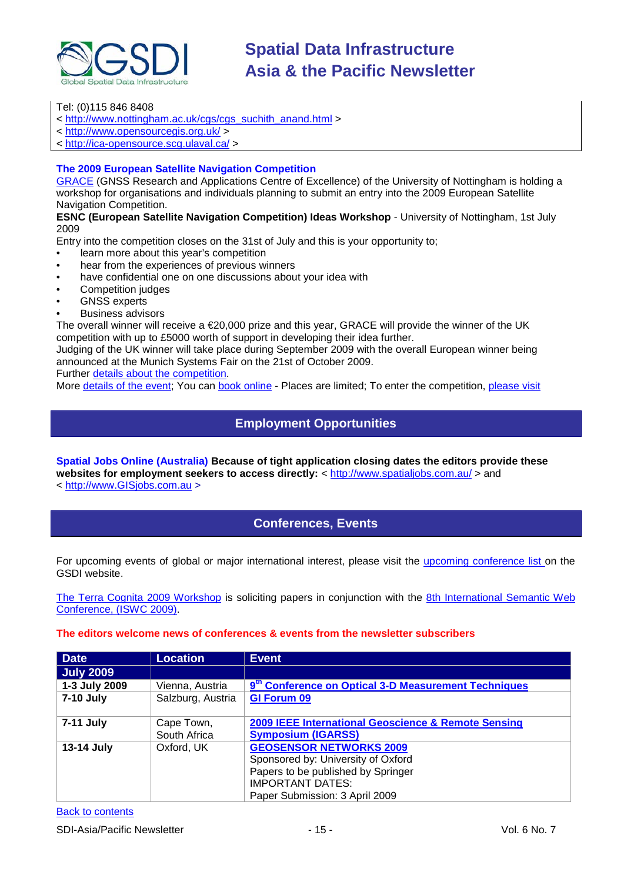

#### Tel: (0)115 846 8408

< [http://www.nottingham.ac.uk/cgs/cgs\\_suchith\\_anand.html](http://www.nottingham.ac.uk/cgs/cgs_suchith_anand.html) >

<<http://www.opensourcegis.org.uk/> >

<<http://ica-opensource.scg.ulaval.ca/> >

#### **The 2009 European Satellite Navigation Competition**

[GRACE](http://www.grace.ac.uk/) (GNSS Research and Applications Centre of Excellence) of the University of Nottingham is holding a workshop for organisations and individuals planning to submit an entry into the 2009 European Satellite Navigation Competition.

**ESNC (European Satellite Navigation Competition) Ideas Workshop** - University of Nottingham, 1st July 2009

Entry into the competition closes on the 31st of July and this is your opportunity to;

- learn more about this year's competition
- hear from the experiences of previous winners
- have confidential one on one discussions about your idea with
- Competition judges
- **GNSS** experts
- Business advisors

The overall winner will receive a €20,000 prize and this year, GRACE will provide the winner of the UK competition with up to £5000 worth of support in developing their idea further.

Judging of the UK winner will take place during September 2009 with the overall European winner being announced at the Munich Systems Fair on the 21st of October 2009.

Further [details about the competition.](http://www.galileomasters.co.uk/)

<span id="page-14-0"></span>More details of [the event;](http://www.grace.ac.uk/events/esnc09/index.php) You can [book online](http://www.grace.ac.uk/events/esnc09/booking.php) - Places are limited; To enter the competition, [please visit](http://www.galileo-masters.eu/)

### **Employment Opportunities**

**Spatial Jobs Online (Australia) Because of tight application closing dates the editors provide these websites for employment seekers to access directly:** <<http://www.spatialjobs.com.au/> > and

<span id="page-14-1"></span>< [http://www.GISjobs.com.au](http://www.gisjobs.com.au/) >

### **Conferences, Events**

For upcoming events of global or major international interest, please visit the [upcoming conference list o](http://gsdi.org/events/upcnf.asp)n the GSDI website.

[The Terra Cognita 2009 Workshop](http://asio.bbn.com/terracognita2009/) is soliciting papers in conjunction with the [8th International Semantic Web](http://iswc2009.semanticweb.org/)  [Conference, \(ISWC 2009\).](http://iswc2009.semanticweb.org/)

#### **The editors welcome news of conferences & events from the newsletter subscribers**

| <b>Date</b>      | <b>Location</b>            | <b>Event</b>                                                                                                                                                            |
|------------------|----------------------------|-------------------------------------------------------------------------------------------------------------------------------------------------------------------------|
| <b>July 2009</b> |                            |                                                                                                                                                                         |
| 1-3 July 2009    | Vienna, Austria            | 9 <sup>th</sup> Conference on Optical 3-D Measurement Techniques                                                                                                        |
| 7-10 July        | Salzburg, Austria          | <b>GI Forum 09</b>                                                                                                                                                      |
| 7-11 July        | Cape Town,<br>South Africa | 2009 IEEE International Geoscience & Remote Sensing<br><b>Symposium (IGARSS)</b>                                                                                        |
| 13-14 July       | Oxford, UK                 | <b>GEOSENSOR NETWORKS 2009</b><br>Sponsored by: University of Oxford<br>Papers to be published by Springer<br><b>IMPORTANT DATES:</b><br>Paper Submission: 3 April 2009 |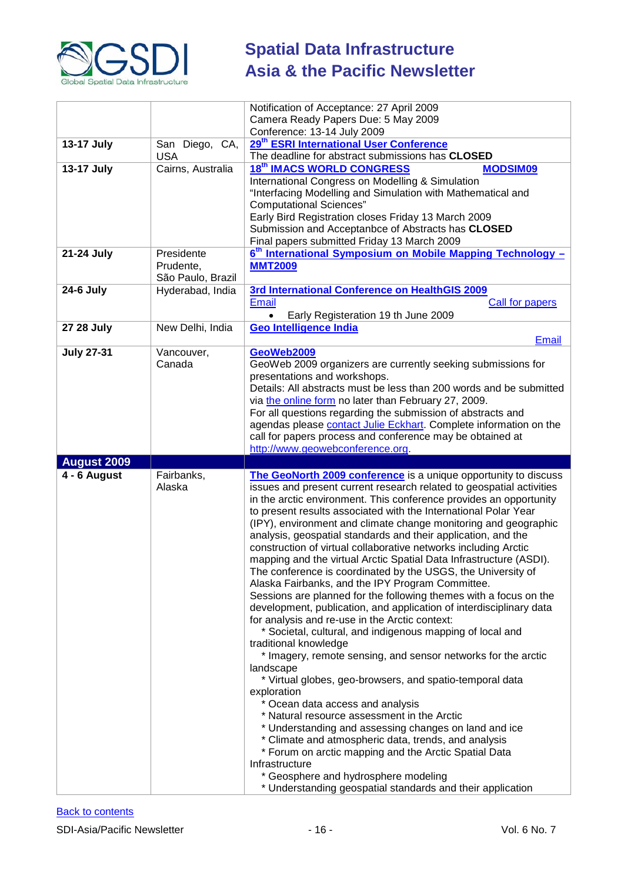

|                    |                   | Notification of Acceptance: 27 April 2009                                                          |
|--------------------|-------------------|----------------------------------------------------------------------------------------------------|
|                    |                   | Camera Ready Papers Due: 5 May 2009                                                                |
|                    |                   | Conference: 13-14 July 2009                                                                        |
| 13-17 July         | San Diego, CA,    | 29 <sup>th</sup> ESRI International User Conference                                                |
|                    | <b>USA</b>        | The deadline for abstract submissions has CLOSED                                                   |
| 13-17 July         | Cairns, Australia | <b>18th IMACS WORLD CONGRESS</b><br><b>MODSIM09</b>                                                |
|                    |                   | International Congress on Modelling & Simulation                                                   |
|                    |                   | "Interfacing Modelling and Simulation with Mathematical and                                        |
|                    |                   | <b>Computational Sciences"</b>                                                                     |
|                    |                   | Early Bird Registration closes Friday 13 March 2009                                                |
|                    |                   |                                                                                                    |
|                    |                   | Submission and Acceptanbce of Abstracts has CLOSED                                                 |
|                    |                   | Final papers submitted Friday 13 March 2009                                                        |
| 21-24 July         | Presidente        | 6 <sup>th</sup> International Symposium on Mobile Mapping Technology -                             |
|                    | Prudente,         | <b>MMT2009</b>                                                                                     |
|                    | São Paulo, Brazil |                                                                                                    |
| <b>24-6 July</b>   | Hyderabad, India  | 3rd International Conference on HealthGIS 2009                                                     |
|                    |                   | <b>Email</b><br><b>Call for papers</b>                                                             |
|                    |                   | Early Registeration 19 th June 2009                                                                |
| 27 28 July         | New Delhi, India  | <b>Geo Intelligence India</b>                                                                      |
|                    |                   | <b>Email</b>                                                                                       |
| <b>July 27-31</b>  | Vancouver,        | GeoWeb2009                                                                                         |
|                    | Canada            | GeoWeb 2009 organizers are currently seeking submissions for                                       |
|                    |                   | presentations and workshops.                                                                       |
|                    |                   | Details: All abstracts must be less than 200 words and be submitted                                |
|                    |                   | via the online form no later than February 27, 2009.                                               |
|                    |                   | For all questions regarding the submission of abstracts and                                        |
|                    |                   | agendas please contact Julie Eckhart. Complete information on the                                  |
|                    |                   | call for papers process and conference may be obtained at                                          |
|                    |                   |                                                                                                    |
|                    |                   |                                                                                                    |
|                    |                   | http://www.geowebconference.org.                                                                   |
| <b>August 2009</b> |                   |                                                                                                    |
| 4 - 6 August       | Fairbanks,        | The GeoNorth 2009 conference is a unique opportunity to discuss                                    |
|                    | Alaska            | issues and present current research related to geospatial activities                               |
|                    |                   | in the arctic environment. This conference provides an opportunity                                 |
|                    |                   | to present results associated with the International Polar Year                                    |
|                    |                   | (IPY), environment and climate change monitoring and geographic                                    |
|                    |                   | analysis, geospatial standards and their application, and the                                      |
|                    |                   | construction of virtual collaborative networks including Arctic                                    |
|                    |                   | mapping and the virtual Arctic Spatial Data Infrastructure (ASDI).                                 |
|                    |                   | The conference is coordinated by the USGS, the University of                                       |
|                    |                   | Alaska Fairbanks, and the IPY Program Committee.                                                   |
|                    |                   | Sessions are planned for the following themes with a focus on the                                  |
|                    |                   | development, publication, and application of interdisciplinary data                                |
|                    |                   | for analysis and re-use in the Arctic context:                                                     |
|                    |                   | * Societal, cultural, and indigenous mapping of local and                                          |
|                    |                   | traditional knowledge                                                                              |
|                    |                   | * Imagery, remote sensing, and sensor networks for the arctic                                      |
|                    |                   | landscape                                                                                          |
|                    |                   | * Virtual globes, geo-browsers, and spatio-temporal data                                           |
|                    |                   | exploration                                                                                        |
|                    |                   | * Ocean data access and analysis                                                                   |
|                    |                   | * Natural resource assessment in the Arctic                                                        |
|                    |                   | * Understanding and assessing changes on land and ice                                              |
|                    |                   | * Climate and atmospheric data, trends, and analysis                                               |
|                    |                   | * Forum on arctic mapping and the Arctic Spatial Data                                              |
|                    |                   | Infrastructure                                                                                     |
|                    |                   | * Geosphere and hydrosphere modeling<br>* Understanding geospatial standards and their application |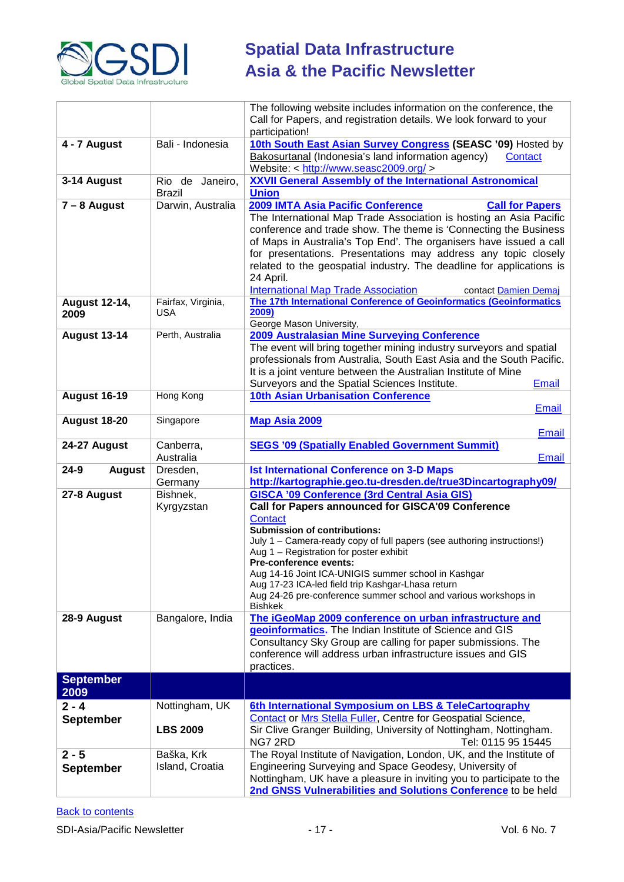

|                           |                    | The following website includes information on the conference, the        |
|---------------------------|--------------------|--------------------------------------------------------------------------|
|                           |                    | Call for Papers, and registration details. We look forward to your       |
|                           |                    | participation!                                                           |
| 4 - 7 August              | Bali - Indonesia   | 10th South East Asian Survey Congress (SEASC '09) Hosted by              |
|                           |                    | Bakosurtanal (Indonesia's land information agency)<br>Contact            |
|                           |                    | Website: < http://www.seasc2009.org/ >                                   |
| 3-14 August               | Rio de Janeiro,    | <b>XXVII General Assembly of the International Astronomical</b>          |
|                           | <b>Brazil</b>      | <b>Union</b>                                                             |
| $7 - 8$ August            | Darwin, Australia  | 2009 IMTA Asia Pacific Conference<br><b>Call for Papers</b>              |
|                           |                    | The International Map Trade Association is hosting an Asia Pacific       |
|                           |                    | conference and trade show. The theme is 'Connecting the Business         |
|                           |                    | of Maps in Australia's Top End'. The organisers have issued a call       |
|                           |                    | for presentations. Presentations may address any topic closely           |
|                           |                    | related to the geospatial industry. The deadline for applications is     |
|                           |                    | 24 April.                                                                |
|                           |                    | <b>International Map Trade Association</b><br>contact Damien Demai       |
| <b>August 12-14,</b>      | Fairfax, Virginia, | The 17th International Conference of Geoinformatics (Geoinformatics      |
| 2009                      | USA                | 2009)<br>George Mason University,                                        |
| <b>August 13-14</b>       | Perth, Australia   | 2009 Australasian Mine Surveying Conference                              |
|                           |                    | The event will bring together mining industry surveyors and spatial      |
|                           |                    | professionals from Australia, South East Asia and the South Pacific.     |
|                           |                    | It is a joint venture between the Australian Institute of Mine           |
|                           |                    | Surveyors and the Spatial Sciences Institute.<br>Email                   |
| <b>August 16-19</b>       | Hong Kong          | <b>10th Asian Urbanisation Conference</b>                                |
|                           |                    | Email                                                                    |
| <b>August 18-20</b>       | Singapore          | Map Asia 2009                                                            |
|                           |                    | Email                                                                    |
| 24-27 August              | Canberra,          | <b>SEGS '09 (Spatially Enabled Government Summit)</b>                    |
|                           | Australia          | Email                                                                    |
| $24 - 9$<br><b>August</b> | Dresden,           | <b>Ist International Conference on 3-D Maps</b>                          |
|                           | Germany            | http://kartographie.geo.tu-dresden.de/true3Dincartography09/             |
| 27-8 August               | Bishnek,           | <b>GISCA '09 Conference (3rd Central Asia GIS)</b>                       |
|                           | Kyrgyzstan         | Call for Papers announced for GISCA'09 Conference                        |
|                           |                    | <b>Contact</b>                                                           |
|                           |                    | <b>Submission of contributions:</b>                                      |
|                           |                    | July 1 - Camera-ready copy of full papers (see authoring instructions!)  |
|                           |                    | Aug 1 - Registration for poster exhibit<br><b>Pre-conference events:</b> |
|                           |                    | Aug 14-16 Joint ICA-UNIGIS summer school in Kashgar                      |
|                           |                    | Aug 17-23 ICA-led field trip Kashgar-Lhasa return                        |
|                           |                    | Aug 24-26 pre-conference summer school and various workshops in          |
|                           |                    | <b>Bishkek</b>                                                           |
| 28-9 August               | Bangalore, India   | The iGeoMap 2009 conference on urban infrastructure and                  |
|                           |                    | geoinformatics. The Indian Institute of Science and GIS                  |
|                           |                    | Consultancy Sky Group are calling for paper submissions. The             |
|                           |                    | conference will address urban infrastructure issues and GIS              |
|                           |                    | practices.                                                               |
| <b>September</b>          |                    |                                                                          |
| 2009                      |                    |                                                                          |
| $2 - 4$                   | Nottingham, UK     | 6th International Symposium on LBS & TeleCartography                     |
| <b>September</b>          |                    | Contact or Mrs Stella Fuller, Centre for Geospatial Science,             |
|                           | <b>LBS 2009</b>    | Sir Clive Granger Building, University of Nottingham, Nottingham.        |
|                           |                    | NG7 2RD<br>Tel: 0115 95 15445                                            |
| $2 - 5$                   | Baška, Krk         | The Royal Institute of Navigation, London, UK, and the Institute of      |
| <b>September</b>          | Island, Croatia    | Engineering Surveying and Space Geodesy, University of                   |
|                           |                    | Nottingham, UK have a pleasure in inviting you to participate to the     |
|                           |                    | 2nd GNSS Vulnerabilities and Solutions Conference to be held             |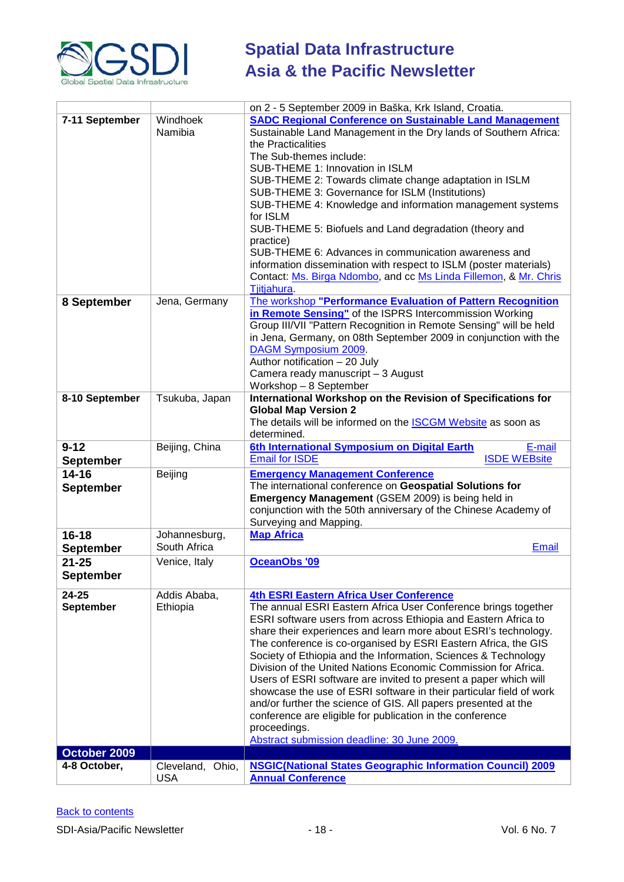

|                  |                                | on 2 - 5 September 2009 in Baška, Krk Island, Croatia.                                        |
|------------------|--------------------------------|-----------------------------------------------------------------------------------------------|
| 7-11 September   | Windhoek                       | <b>SADC Regional Conference on Sustainable Land Management</b>                                |
|                  | Namibia                        | Sustainable Land Management in the Dry lands of Southern Africa:                              |
|                  |                                | the Practicalities                                                                            |
|                  |                                | The Sub-themes include:                                                                       |
|                  |                                | SUB-THEME 1: Innovation in ISLM                                                               |
|                  |                                | SUB-THEME 2: Towards climate change adaptation in ISLM                                        |
|                  |                                | SUB-THEME 3: Governance for ISLM (Institutions)                                               |
|                  |                                | SUB-THEME 4: Knowledge and information management systems                                     |
|                  |                                | for ISLM                                                                                      |
|                  |                                | SUB-THEME 5: Biofuels and Land degradation (theory and                                        |
|                  |                                | practice)                                                                                     |
|                  |                                | SUB-THEME 6: Advances in communication awareness and                                          |
|                  |                                | information dissemination with respect to ISLM (poster materials)                             |
|                  |                                | Contact: Ms. Birga Ndombo, and cc Ms Linda Fillemon, & Mr. Chris                              |
|                  |                                | Tjitjahura.                                                                                   |
| 8 September      | Jena, Germany                  | The workshop "Performance Evaluation of Pattern Recognition                                   |
|                  |                                | in Remote Sensing" of the ISPRS Intercommission Working                                       |
|                  |                                | Group III/VII "Pattern Recognition in Remote Sensing" will be held                            |
|                  |                                | in Jena, Germany, on 08th September 2009 in conjunction with the                              |
|                  |                                | DAGM Symposium 2009.                                                                          |
|                  |                                | Author notification - 20 July                                                                 |
|                  |                                | Camera ready manuscript - 3 August                                                            |
|                  |                                | Workshop - 8 September                                                                        |
| 8-10 September   | Tsukuba, Japan                 | International Workshop on the Revision of Specifications for                                  |
|                  |                                | <b>Global Map Version 2</b>                                                                   |
|                  |                                | The details will be informed on the <b>ISCGM Website</b> as soon as<br>determined.            |
| $9 - 12$         | Beijing, China                 | 6th International Symposium on Digital Earth<br>E-mail                                        |
|                  |                                |                                                                                               |
|                  |                                |                                                                                               |
| <b>September</b> |                                | <b>ISDE WEBsite</b><br><b>Email for ISDE</b>                                                  |
| $14 - 16$        | Beijing                        | <b>Emergency Management Conference</b>                                                        |
| <b>September</b> |                                | The international conference on Geospatial Solutions for                                      |
|                  |                                | Emergency Management (GSEM 2009) is being held in                                             |
|                  |                                | conjunction with the 50th anniversary of the Chinese Academy of                               |
|                  |                                | Surveying and Mapping.                                                                        |
| $16 - 18$        | Johannesburg,                  | <b>Map Africa</b>                                                                             |
| <b>September</b> | South Africa                   | Email                                                                                         |
| $21 - 25$        | Venice, Italy                  | <b>OceanObs '09</b>                                                                           |
| <b>September</b> |                                |                                                                                               |
| 24-25            | Addis Ababa,                   | 4th ESRI Eastern Africa User Conference                                                       |
| <b>September</b> | Ethiopia                       | The annual ESRI Eastern Africa User Conference brings together                                |
|                  |                                | ESRI software users from across Ethiopia and Eastern Africa to                                |
|                  |                                | share their experiences and learn more about ESRI's technology.                               |
|                  |                                | The conference is co-organised by ESRI Eastern Africa, the GIS                                |
|                  |                                | Society of Ethiopia and the Information, Sciences & Technology                                |
|                  |                                | Division of the United Nations Economic Commission for Africa.                                |
|                  |                                | Users of ESRI software are invited to present a paper which will                              |
|                  |                                | showcase the use of ESRI software in their particular field of work                           |
|                  |                                | and/or further the science of GIS. All papers presented at the                                |
|                  |                                | conference are eligible for publication in the conference                                     |
|                  |                                | proceedings.                                                                                  |
|                  |                                | Abstract submission deadline: 30 June 2009.                                                   |
| October 2009     |                                |                                                                                               |
| 4-8 October,     | Cleveland, Ohio,<br><b>USA</b> | <b>NSGIC(National States Geographic Information Council) 2009</b><br><b>Annual Conference</b> |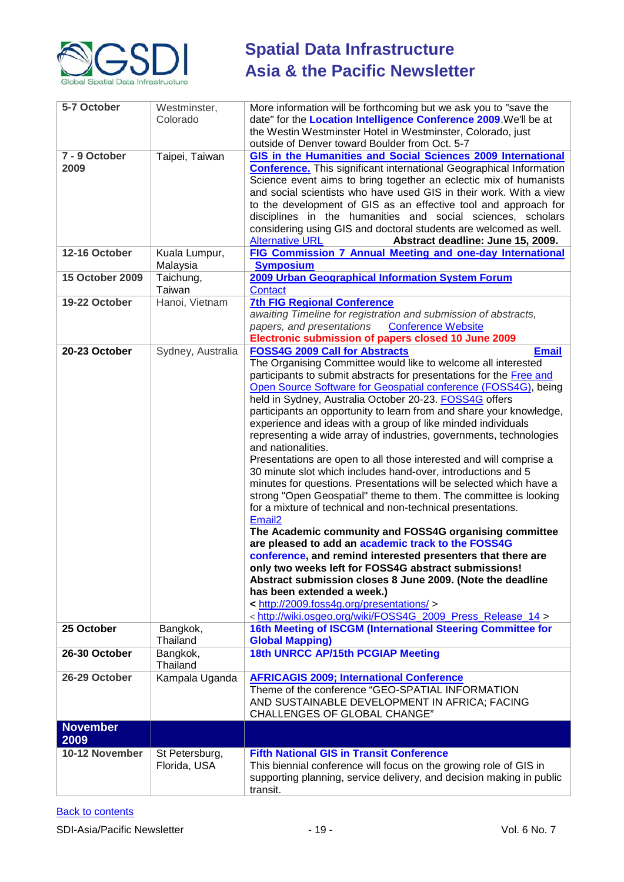

| 5-7 October                 | Westminster,<br>Colorado       | More information will be forthcoming but we ask you to "save the<br>date" for the Location Intelligence Conference 2009. We'll be at<br>the Westin Westminster Hotel in Westminster, Colorado, just<br>outside of Denver toward Boulder from Oct. 5-7                                                                                                                                                                                                                                                                                                                                                                                                                                                                                                                                                                                                                                                                                                                                                                                                                                                                                                                                                                                                                                                                                                                                                                                                          |
|-----------------------------|--------------------------------|----------------------------------------------------------------------------------------------------------------------------------------------------------------------------------------------------------------------------------------------------------------------------------------------------------------------------------------------------------------------------------------------------------------------------------------------------------------------------------------------------------------------------------------------------------------------------------------------------------------------------------------------------------------------------------------------------------------------------------------------------------------------------------------------------------------------------------------------------------------------------------------------------------------------------------------------------------------------------------------------------------------------------------------------------------------------------------------------------------------------------------------------------------------------------------------------------------------------------------------------------------------------------------------------------------------------------------------------------------------------------------------------------------------------------------------------------------------|
| 7 - 9 October<br>2009       | Taipei, Taiwan                 | GIS in the Humanities and Social Sciences 2009 International<br><b>Conference.</b> This significant international Geographical Information<br>Science event aims to bring together an eclectic mix of humanists<br>and social scientists who have used GIS in their work. With a view<br>to the development of GIS as an effective tool and approach for<br>disciplines in the humanities and social sciences, scholars<br>considering using GIS and doctoral students are welcomed as well.<br><b>Alternative URL</b><br>Abstract deadline: June 15, 2009.                                                                                                                                                                                                                                                                                                                                                                                                                                                                                                                                                                                                                                                                                                                                                                                                                                                                                                    |
| 12-16 October               | Kuala Lumpur,                  | FIG Commission 7 Annual Meeting and one-day International                                                                                                                                                                                                                                                                                                                                                                                                                                                                                                                                                                                                                                                                                                                                                                                                                                                                                                                                                                                                                                                                                                                                                                                                                                                                                                                                                                                                      |
| <b>15 October 2009</b>      | Malaysia<br>Taichung,          | <b>Symposium</b><br>2009 Urban Geographical Information System Forum                                                                                                                                                                                                                                                                                                                                                                                                                                                                                                                                                                                                                                                                                                                                                                                                                                                                                                                                                                                                                                                                                                                                                                                                                                                                                                                                                                                           |
|                             | Taiwan                         | <b>Contact</b>                                                                                                                                                                                                                                                                                                                                                                                                                                                                                                                                                                                                                                                                                                                                                                                                                                                                                                                                                                                                                                                                                                                                                                                                                                                                                                                                                                                                                                                 |
| 19-22 October               | Hanoi, Vietnam                 | <b>7th FIG Regional Conference</b><br>awaiting Timeline for registration and submission of abstracts,<br>papers, and presentations<br><b>Conference Website</b><br>Electronic submission of papers closed 10 June 2009                                                                                                                                                                                                                                                                                                                                                                                                                                                                                                                                                                                                                                                                                                                                                                                                                                                                                                                                                                                                                                                                                                                                                                                                                                         |
| 20-23 October<br>25 October | Sydney, Australia<br>Bangkok,  | <b>FOSS4G 2009 Call for Abstracts</b><br><b>Email</b><br>The Organising Committee would like to welcome all interested<br>participants to submit abstracts for presentations for the Free and<br>Open Source Software for Geospatial conference (FOSS4G), being<br>held in Sydney, Australia October 20-23. FOSS4G offers<br>participants an opportunity to learn from and share your knowledge,<br>experience and ideas with a group of like minded individuals<br>representing a wide array of industries, governments, technologies<br>and nationalities.<br>Presentations are open to all those interested and will comprise a<br>30 minute slot which includes hand-over, introductions and 5<br>minutes for questions. Presentations will be selected which have a<br>strong "Open Geospatial" theme to them. The committee is looking<br>for a mixture of technical and non-technical presentations.<br>Email <sub>2</sub><br>The Academic community and FOSS4G organising committee<br>are pleased to add an academic track to the FOSS4G<br>conference, and remind interested presenters that there are<br>only two weeks left for FOSS4G abstract submissions!<br>Abstract submission closes 8 June 2009. (Note the deadline<br>has been extended a week.)<br>< http://2009.foss4g.org/presentations/ ><br><http: foss4g_2009_press_release_14="" wiki="" wiki.osgeo.org=""><br/>16th Meeting of ISCGM (International Steering Committee for</http:> |
|                             | Thailand                       | <b>Global Mapping)</b>                                                                                                                                                                                                                                                                                                                                                                                                                                                                                                                                                                                                                                                                                                                                                                                                                                                                                                                                                                                                                                                                                                                                                                                                                                                                                                                                                                                                                                         |
| 26-30 October               | Bangkok,<br>Thailand           | 18th UNRCC AP/15th PCGIAP Meeting                                                                                                                                                                                                                                                                                                                                                                                                                                                                                                                                                                                                                                                                                                                                                                                                                                                                                                                                                                                                                                                                                                                                                                                                                                                                                                                                                                                                                              |
| 26-29 October               | Kampala Uganda                 | <b>AFRICAGIS 2009; International Conference</b><br>Theme of the conference "GEO-SPATIAL INFORMATION<br>AND SUSTAINABLE DEVELOPMENT IN AFRICA; FACING<br><b>CHALLENGES OF GLOBAL CHANGE"</b>                                                                                                                                                                                                                                                                                                                                                                                                                                                                                                                                                                                                                                                                                                                                                                                                                                                                                                                                                                                                                                                                                                                                                                                                                                                                    |
| <b>November</b><br>2009     |                                |                                                                                                                                                                                                                                                                                                                                                                                                                                                                                                                                                                                                                                                                                                                                                                                                                                                                                                                                                                                                                                                                                                                                                                                                                                                                                                                                                                                                                                                                |
| 10-12 November              | St Petersburg,<br>Florida, USA | <b>Fifth National GIS in Transit Conference</b><br>This biennial conference will focus on the growing role of GIS in<br>supporting planning, service delivery, and decision making in public<br>transit.                                                                                                                                                                                                                                                                                                                                                                                                                                                                                                                                                                                                                                                                                                                                                                                                                                                                                                                                                                                                                                                                                                                                                                                                                                                       |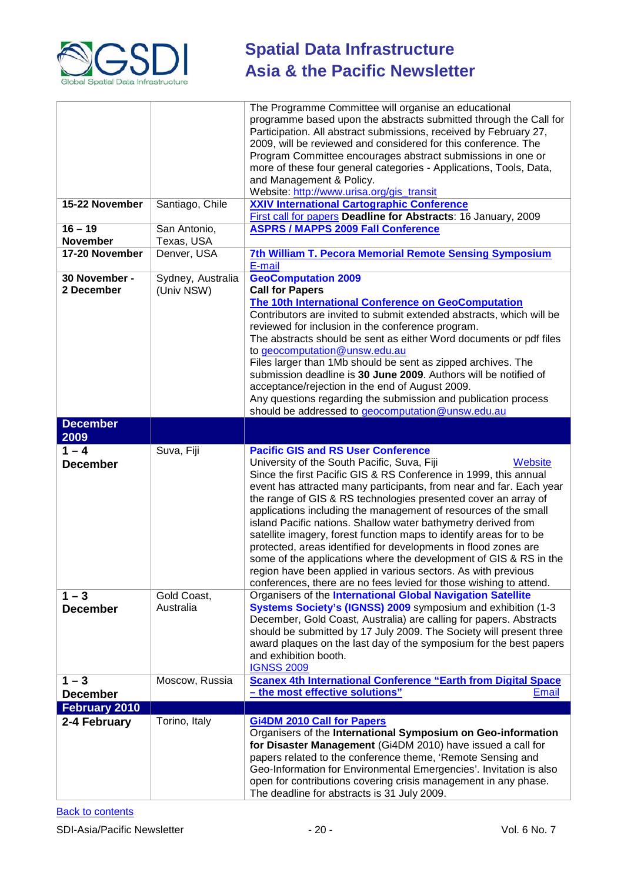

|                              |                                 | The Programme Committee will organise an educational<br>programme based upon the abstracts submitted through the Call for<br>Participation. All abstract submissions, received by February 27,<br>2009, will be reviewed and considered for this conference. The<br>Program Committee encourages abstract submissions in one or<br>more of these four general categories - Applications, Tools, Data,<br>and Management & Policy.<br>Website: http://www.urisa.org/gis_transit                                                                                                                                                                                                                                                                                                                             |
|------------------------------|---------------------------------|------------------------------------------------------------------------------------------------------------------------------------------------------------------------------------------------------------------------------------------------------------------------------------------------------------------------------------------------------------------------------------------------------------------------------------------------------------------------------------------------------------------------------------------------------------------------------------------------------------------------------------------------------------------------------------------------------------------------------------------------------------------------------------------------------------|
| 15-22 November               | Santiago, Chile                 | <b>XXIV International Cartographic Conference</b><br>First call for papers Deadline for Abstracts: 16 January, 2009                                                                                                                                                                                                                                                                                                                                                                                                                                                                                                                                                                                                                                                                                        |
| $16 - 19$<br><b>November</b> | San Antonio,<br>Texas, USA      | <b>ASPRS / MAPPS 2009 Fall Conference</b>                                                                                                                                                                                                                                                                                                                                                                                                                                                                                                                                                                                                                                                                                                                                                                  |
| 17-20 November               | Denver, USA                     | <b>7th William T. Pecora Memorial Remote Sensing Symposium</b><br>E-mail                                                                                                                                                                                                                                                                                                                                                                                                                                                                                                                                                                                                                                                                                                                                   |
| 30 November -<br>2 December  | Sydney, Australia<br>(Univ NSW) | <b>GeoComputation 2009</b><br><b>Call for Papers</b><br>The 10th International Conference on GeoComputation<br>Contributors are invited to submit extended abstracts, which will be<br>reviewed for inclusion in the conference program.<br>The abstracts should be sent as either Word documents or pdf files<br>to geocomputation@unsw.edu.au<br>Files larger than 1Mb should be sent as zipped archives. The<br>submission deadline is 30 June 2009. Authors will be notified of<br>acceptance/rejection in the end of August 2009.<br>Any questions regarding the submission and publication process<br>should be addressed to geocomputation@unsw.edu.au                                                                                                                                              |
| <b>December</b><br>2009      |                                 |                                                                                                                                                                                                                                                                                                                                                                                                                                                                                                                                                                                                                                                                                                                                                                                                            |
| $1 - 4$<br><b>December</b>   | Suva, Fiji                      | <b>Pacific GIS and RS User Conference</b><br>University of the South Pacific, Suva, Fiji<br>Website<br>Since the first Pacific GIS & RS Conference in 1999, this annual<br>event has attracted many participants, from near and far. Each year<br>the range of GIS & RS technologies presented cover an array of<br>applications including the management of resources of the small<br>island Pacific nations. Shallow water bathymetry derived from<br>satellite imagery, forest function maps to identify areas for to be<br>protected, areas identified for developments in flood zones are<br>some of the applications where the development of GIS & RS in the<br>region have been applied in various sectors. As with previous<br>conferences, there are no fees levied for those wishing to attend. |
| $1 - 3$<br><b>December</b>   | Gold Coast,<br>Australia        | Organisers of the International Global Navigation Satellite<br>Systems Society's (IGNSS) 2009 symposium and exhibition (1-3<br>December, Gold Coast, Australia) are calling for papers. Abstracts<br>should be submitted by 17 July 2009. The Society will present three<br>award plaques on the last day of the symposium for the best papers<br>and exhibition booth.<br><b>IGNSS 2009</b>                                                                                                                                                                                                                                                                                                                                                                                                               |
| $1 - 3$<br><b>December</b>   | Moscow, Russia                  | <b>Scanex 4th International Conference "Earth from Digital Space</b><br>- the most effective solutions"<br><b>Email</b>                                                                                                                                                                                                                                                                                                                                                                                                                                                                                                                                                                                                                                                                                    |
| February 2010                |                                 |                                                                                                                                                                                                                                                                                                                                                                                                                                                                                                                                                                                                                                                                                                                                                                                                            |
| 2-4 February                 | Torino, Italy                   | <b>Gi4DM 2010 Call for Papers</b><br>Organisers of the International Symposium on Geo-information<br>for Disaster Management (Gi4DM 2010) have issued a call for<br>papers related to the conference theme, 'Remote Sensing and<br>Geo-Information for Environmental Emergencies'. Invitation is also<br>open for contributions covering crisis management in any phase.<br>The deadline for abstracts is 31 July 2009.                                                                                                                                                                                                                                                                                                                                                                                    |